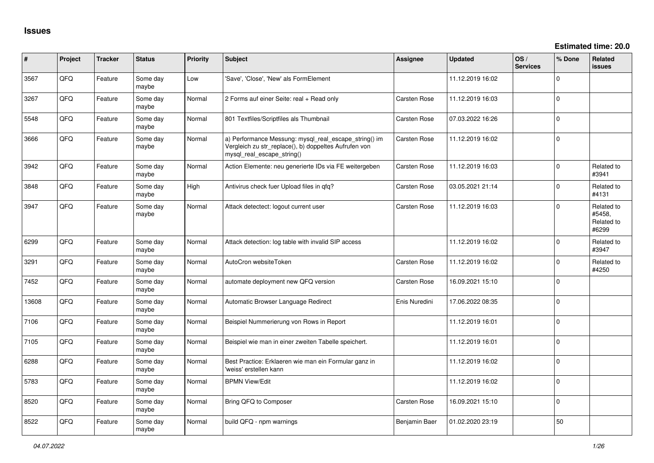| #     | Project | <b>Tracker</b> | <b>Status</b>     | <b>Priority</b> | <b>Subject</b>                                                                                                                               | <b>Assignee</b> | <b>Updated</b>   | OS/<br><b>Services</b> | % Done       | <b>Related</b><br><b>issues</b>             |
|-------|---------|----------------|-------------------|-----------------|----------------------------------------------------------------------------------------------------------------------------------------------|-----------------|------------------|------------------------|--------------|---------------------------------------------|
| 3567  | QFQ     | Feature        | Some day<br>maybe | Low             | 'Save', 'Close', 'New' als FormElement                                                                                                       |                 | 11.12.2019 16:02 |                        | $\Omega$     |                                             |
| 3267  | QFQ     | Feature        | Some day<br>maybe | Normal          | 2 Forms auf einer Seite: real + Read only                                                                                                    | Carsten Rose    | 11.12.2019 16:03 |                        | $\Omega$     |                                             |
| 5548  | QFQ     | Feature        | Some day<br>maybe | Normal          | 801 Textfiles/Scriptfiles als Thumbnail                                                                                                      | Carsten Rose    | 07.03.2022 16:26 |                        | $\mathbf 0$  |                                             |
| 3666  | QFQ     | Feature        | Some day<br>maybe | Normal          | a) Performance Messung: mysql_real_escape_string() im<br>Vergleich zu str_replace(), b) doppeltes Aufrufen von<br>mysql_real_escape_string() | Carsten Rose    | 11.12.2019 16:02 |                        | $\mathbf{0}$ |                                             |
| 3942  | QFQ     | Feature        | Some day<br>maybe | Normal          | Action Elemente: neu generierte IDs via FE weitergeben                                                                                       | Carsten Rose    | 11.12.2019 16:03 |                        | $\mathbf 0$  | Related to<br>#3941                         |
| 3848  | QFQ     | Feature        | Some day<br>maybe | High            | Antivirus check fuer Upload files in qfq?                                                                                                    | Carsten Rose    | 03.05.2021 21:14 |                        | $\mathbf 0$  | Related to<br>#4131                         |
| 3947  | QFQ     | Feature        | Some day<br>maybe | Normal          | Attack detectect: logout current user                                                                                                        | Carsten Rose    | 11.12.2019 16:03 |                        | $\Omega$     | Related to<br>#5458.<br>Related to<br>#6299 |
| 6299  | QFQ     | Feature        | Some day<br>maybe | Normal          | Attack detection: log table with invalid SIP access                                                                                          |                 | 11.12.2019 16:02 |                        | $\Omega$     | Related to<br>#3947                         |
| 3291  | QFQ     | Feature        | Some day<br>maybe | Normal          | AutoCron websiteToken                                                                                                                        | Carsten Rose    | 11.12.2019 16:02 |                        | $\mathbf 0$  | Related to<br>#4250                         |
| 7452  | QFQ     | Feature        | Some day<br>maybe | Normal          | automate deployment new QFQ version                                                                                                          | Carsten Rose    | 16.09.2021 15:10 |                        | $\mathbf 0$  |                                             |
| 13608 | QFQ     | Feature        | Some day<br>maybe | Normal          | Automatic Browser Language Redirect                                                                                                          | Enis Nuredini   | 17.06.2022 08:35 |                        | $\mathbf 0$  |                                             |
| 7106  | QFQ     | Feature        | Some day<br>maybe | Normal          | Beispiel Nummerierung von Rows in Report                                                                                                     |                 | 11.12.2019 16:01 |                        | $\mathbf{0}$ |                                             |
| 7105  | QFQ     | Feature        | Some day<br>maybe | Normal          | Beispiel wie man in einer zweiten Tabelle speichert.                                                                                         |                 | 11.12.2019 16:01 |                        | $\Omega$     |                                             |
| 6288  | QFQ     | Feature        | Some day<br>maybe | Normal          | Best Practice: Erklaeren wie man ein Formular ganz in<br>'weiss' erstellen kann                                                              |                 | 11.12.2019 16:02 |                        | $\Omega$     |                                             |
| 5783  | QFQ     | Feature        | Some day<br>maybe | Normal          | <b>BPMN View/Edit</b>                                                                                                                        |                 | 11.12.2019 16:02 |                        | $\mathbf 0$  |                                             |
| 8520  | QFQ     | Feature        | Some day<br>maybe | Normal          | Bring QFQ to Composer                                                                                                                        | Carsten Rose    | 16.09.2021 15:10 |                        | $\mathbf 0$  |                                             |
| 8522  | QFQ     | Feature        | Some day<br>maybe | Normal          | build QFQ - npm warnings                                                                                                                     | Benjamin Baer   | 01.02.2020 23:19 |                        | 50           |                                             |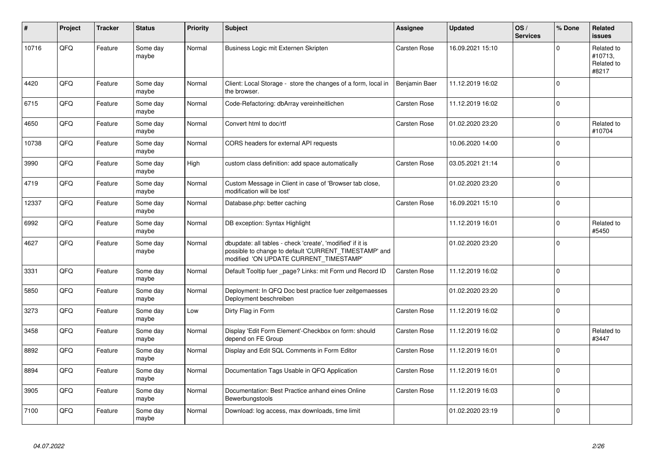| #     | <b>Project</b> | <b>Tracker</b> | <b>Status</b>     | <b>Priority</b> | <b>Subject</b>                                                                                                                                                | Assignee      | <b>Updated</b>   | OS/<br><b>Services</b> | % Done       | <b>Related</b><br><b>issues</b>              |
|-------|----------------|----------------|-------------------|-----------------|---------------------------------------------------------------------------------------------------------------------------------------------------------------|---------------|------------------|------------------------|--------------|----------------------------------------------|
| 10716 | QFQ            | Feature        | Some day<br>maybe | Normal          | Business Logic mit Externen Skripten                                                                                                                          | Carsten Rose  | 16.09.2021 15:10 |                        | $\Omega$     | Related to<br>#10713.<br>Related to<br>#8217 |
| 4420  | QFQ            | Feature        | Some day<br>maybe | Normal          | Client: Local Storage - store the changes of a form, local in<br>the browser.                                                                                 | Benjamin Baer | 11.12.2019 16:02 |                        | $\mathbf 0$  |                                              |
| 6715  | QFQ            | Feature        | Some day<br>maybe | Normal          | Code-Refactoring: dbArray vereinheitlichen                                                                                                                    | Carsten Rose  | 11.12.2019 16:02 |                        | $\Omega$     |                                              |
| 4650  | QFQ            | Feature        | Some day<br>maybe | Normal          | Convert html to doc/rtf                                                                                                                                       | Carsten Rose  | 01.02.2020 23:20 |                        | $\Omega$     | Related to<br>#10704                         |
| 10738 | QFQ            | Feature        | Some day<br>maybe | Normal          | CORS headers for external API requests                                                                                                                        |               | 10.06.2020 14:00 |                        | $\mathbf{0}$ |                                              |
| 3990  | QFQ            | Feature        | Some day<br>maybe | High            | custom class definition: add space automatically                                                                                                              | Carsten Rose  | 03.05.2021 21:14 |                        | $\mathbf 0$  |                                              |
| 4719  | QFQ            | Feature        | Some day<br>maybe | Normal          | Custom Message in Client in case of 'Browser tab close,<br>modification will be lost'                                                                         |               | 01.02.2020 23:20 |                        | $\mathbf 0$  |                                              |
| 12337 | QFQ            | Feature        | Some day<br>maybe | Normal          | Database.php: better caching                                                                                                                                  | Carsten Rose  | 16.09.2021 15:10 |                        | $\mathbf 0$  |                                              |
| 6992  | QFQ            | Feature        | Some day<br>maybe | Normal          | DB exception: Syntax Highlight                                                                                                                                |               | 11.12.2019 16:01 |                        | $\mathbf 0$  | Related to<br>#5450                          |
| 4627  | QFQ            | Feature        | Some day<br>maybe | Normal          | dbupdate: all tables - check 'create', 'modified' if it is<br>possible to change to default 'CURRENT_TIMESTAMP' and<br>modified 'ON UPDATE CURRENT_TIMESTAMP' |               | 01.02.2020 23:20 |                        | $\Omega$     |                                              |
| 3331  | QFQ            | Feature        | Some day<br>maybe | Normal          | Default Tooltip fuer page? Links: mit Form und Record ID                                                                                                      | Carsten Rose  | 11.12.2019 16:02 |                        | $\mathbf 0$  |                                              |
| 5850  | QFQ            | Feature        | Some day<br>maybe | Normal          | Deployment: In QFQ Doc best practice fuer zeitgemaesses<br>Deployment beschreiben                                                                             |               | 01.02.2020 23:20 |                        | $\mathbf 0$  |                                              |
| 3273  | QFQ            | Feature        | Some day<br>maybe | Low             | Dirty Flag in Form                                                                                                                                            | Carsten Rose  | 11.12.2019 16:02 |                        | $\mathbf 0$  |                                              |
| 3458  | QFQ            | Feature        | Some day<br>maybe | Normal          | Display 'Edit Form Element'-Checkbox on form: should<br>depend on FE Group                                                                                    | Carsten Rose  | 11.12.2019 16:02 |                        | $\mathbf 0$  | Related to<br>#3447                          |
| 8892  | QFQ            | Feature        | Some day<br>maybe | Normal          | Display and Edit SQL Comments in Form Editor                                                                                                                  | Carsten Rose  | 11.12.2019 16:01 |                        | $\Omega$     |                                              |
| 8894  | QFQ            | Feature        | Some day<br>maybe | Normal          | Documentation Tags Usable in QFQ Application                                                                                                                  | Carsten Rose  | 11.12.2019 16:01 |                        | $\mathbf{0}$ |                                              |
| 3905  | QFQ            | Feature        | Some day<br>maybe | Normal          | Documentation: Best Practice anhand eines Online<br>Bewerbungstools                                                                                           | Carsten Rose  | 11.12.2019 16:03 |                        | $\mathbf 0$  |                                              |
| 7100  | QFQ            | Feature        | Some dav<br>maybe | Normal          | Download: log access, max downloads, time limit                                                                                                               |               | 01.02.2020 23:19 |                        | $\mathbf 0$  |                                              |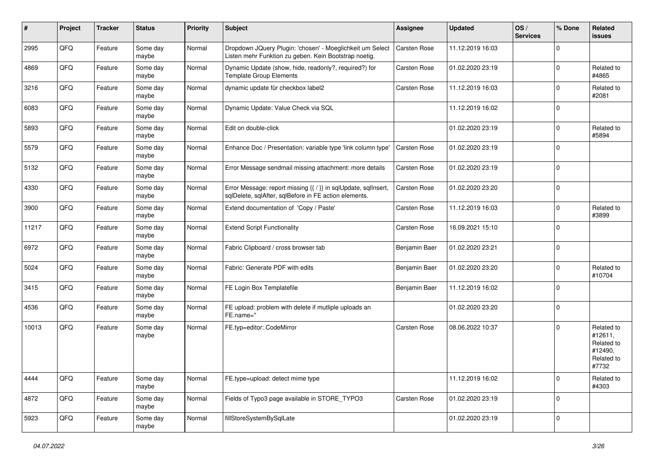| #     | Project | <b>Tracker</b> | <b>Status</b>     | <b>Priority</b> | Subject                                                                                                                 | Assignee      | <b>Updated</b>   | OS/<br><b>Services</b> | % Done      | Related<br>issues                                                     |
|-------|---------|----------------|-------------------|-----------------|-------------------------------------------------------------------------------------------------------------------------|---------------|------------------|------------------------|-------------|-----------------------------------------------------------------------|
| 2995  | QFQ     | Feature        | Some day<br>maybe | Normal          | Dropdown JQuery Plugin: 'chosen' - Moeglichkeit um Select<br>Listen mehr Funktion zu geben. Kein Bootstrap noetig.      | Carsten Rose  | 11.12.2019 16:03 |                        | $\Omega$    |                                                                       |
| 4869  | QFQ     | Feature        | Some day<br>maybe | Normal          | Dynamic Update (show, hide, readonly?, required?) for<br><b>Template Group Elements</b>                                 | Carsten Rose  | 01.02.2020 23:19 |                        | $\mathbf 0$ | Related to<br>#4865                                                   |
| 3216  | QFQ     | Feature        | Some day<br>maybe | Normal          | dynamic update für checkbox label2                                                                                      | Carsten Rose  | 11.12.2019 16:03 |                        | $\mathbf 0$ | Related to<br>#2081                                                   |
| 6083  | QFQ     | Feature        | Some day<br>maybe | Normal          | Dynamic Update: Value Check via SQL                                                                                     |               | 11.12.2019 16:02 |                        | $\mathbf 0$ |                                                                       |
| 5893  | QFQ     | Feature        | Some day<br>maybe | Normal          | Edit on double-click                                                                                                    |               | 01.02.2020 23:19 |                        | $\mathbf 0$ | Related to<br>#5894                                                   |
| 5579  | QFQ     | Feature        | Some day<br>maybe | Normal          | Enhance Doc / Presentation: variable type 'link column type'                                                            | Carsten Rose  | 01.02.2020 23:19 |                        | $\mathbf 0$ |                                                                       |
| 5132  | QFQ     | Feature        | Some day<br>maybe | Normal          | Error Message sendmail missing attachment: more details                                                                 | Carsten Rose  | 01.02.2020 23:19 |                        | $\mathbf 0$ |                                                                       |
| 4330  | QFQ     | Feature        | Some day<br>maybe | Normal          | Error Message: report missing {{ / }} in sqlUpdate, sqlInsert,<br>sqlDelete, sqlAfter, sqlBefore in FE action elements. | Carsten Rose  | 01.02.2020 23:20 |                        | $\mathbf 0$ |                                                                       |
| 3900  | QFQ     | Feature        | Some day<br>maybe | Normal          | Extend documentation of 'Copy / Paste'                                                                                  | Carsten Rose  | 11.12.2019 16:03 |                        | $\mathbf 0$ | Related to<br>#3899                                                   |
| 11217 | QFQ     | Feature        | Some day<br>maybe | Normal          | <b>Extend Script Functionality</b>                                                                                      | Carsten Rose  | 16.09.2021 15:10 |                        | $\mathbf 0$ |                                                                       |
| 6972  | QFQ     | Feature        | Some day<br>maybe | Normal          | Fabric Clipboard / cross browser tab                                                                                    | Benjamin Baer | 01.02.2020 23:21 |                        | $\mathbf 0$ |                                                                       |
| 5024  | QFQ     | Feature        | Some day<br>maybe | Normal          | Fabric: Generate PDF with edits                                                                                         | Benjamin Baer | 01.02.2020 23:20 |                        | $\mathbf 0$ | Related to<br>#10704                                                  |
| 3415  | QFQ     | Feature        | Some day<br>maybe | Normal          | FE Login Box Templatefile                                                                                               | Benjamin Baer | 11.12.2019 16:02 |                        | $\Omega$    |                                                                       |
| 4536  | QFQ     | Feature        | Some day<br>maybe | Normal          | FE upload: problem with delete if mutliple uploads an<br>FE.name="                                                      |               | 01.02.2020 23:20 |                        | $\mathbf 0$ |                                                                       |
| 10013 | QFQ     | Feature        | Some day<br>maybe | Normal          | FE.typ=editor: CodeMirror                                                                                               | Carsten Rose  | 08.06.2022 10:37 |                        | $\Omega$    | Related to<br>#12611,<br>Related to<br>#12490,<br>Related to<br>#7732 |
| 4444  | QFQ     | Feature        | Some day<br>maybe | Normal          | FE.type=upload: detect mime type                                                                                        |               | 11.12.2019 16:02 |                        | $\mathbf 0$ | Related to<br>#4303                                                   |
| 4872  | QFQ     | Feature        | Some day<br>maybe | Normal          | Fields of Typo3 page available in STORE TYPO3                                                                           | Carsten Rose  | 01.02.2020 23:19 |                        | $\mathbf 0$ |                                                                       |
| 5923  | QFQ     | Feature        | Some day<br>maybe | Normal          | fillStoreSystemBySqlLate                                                                                                |               | 01.02.2020 23:19 |                        | $\mathbf 0$ |                                                                       |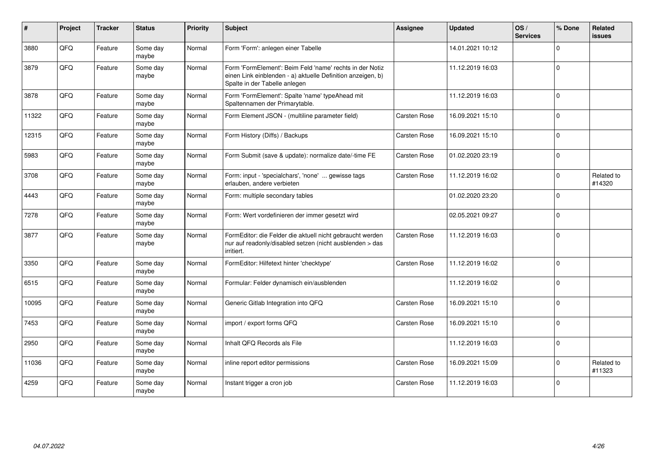| ∦     | Project | <b>Tracker</b> | <b>Status</b>     | <b>Priority</b> | Subject                                                                                                                                                  | Assignee            | <b>Updated</b>   | OS/<br><b>Services</b> | % Done      | <b>Related</b><br><b>issues</b> |
|-------|---------|----------------|-------------------|-----------------|----------------------------------------------------------------------------------------------------------------------------------------------------------|---------------------|------------------|------------------------|-------------|---------------------------------|
| 3880  | QFQ     | Feature        | Some day<br>maybe | Normal          | Form 'Form': anlegen einer Tabelle                                                                                                                       |                     | 14.01.2021 10:12 |                        | $\mathbf 0$ |                                 |
| 3879  | QFQ     | Feature        | Some day<br>maybe | Normal          | Form 'FormElement': Beim Feld 'name' rechts in der Notiz<br>einen Link einblenden - a) aktuelle Definition anzeigen, b)<br>Spalte in der Tabelle anlegen |                     | 11.12.2019 16:03 |                        | $\mathbf 0$ |                                 |
| 3878  | QFQ     | Feature        | Some day<br>maybe | Normal          | Form 'FormElement': Spalte 'name' typeAhead mit<br>Spaltennamen der Primarytable.                                                                        |                     | 11.12.2019 16:03 |                        | $\mathbf 0$ |                                 |
| 11322 | QFQ     | Feature        | Some day<br>maybe | Normal          | Form Element JSON - (multiline parameter field)                                                                                                          | Carsten Rose        | 16.09.2021 15:10 |                        | $\mathbf 0$ |                                 |
| 12315 | QFQ     | Feature        | Some day<br>maybe | Normal          | Form History (Diffs) / Backups                                                                                                                           | Carsten Rose        | 16.09.2021 15:10 |                        | $\mathbf 0$ |                                 |
| 5983  | QFQ     | Feature        | Some day<br>maybe | Normal          | Form Submit (save & update): normalize date/-time FE                                                                                                     | Carsten Rose        | 01.02.2020 23:19 |                        | $\mathbf 0$ |                                 |
| 3708  | QFQ     | Feature        | Some day<br>maybe | Normal          | Form: input - 'specialchars', 'none'  gewisse tags<br>erlauben, andere verbieten                                                                         | Carsten Rose        | 11.12.2019 16:02 |                        | $\mathbf 0$ | Related to<br>#14320            |
| 4443  | QFQ     | Feature        | Some day<br>maybe | Normal          | Form: multiple secondary tables                                                                                                                          |                     | 01.02.2020 23:20 |                        | $\Omega$    |                                 |
| 7278  | QFQ     | Feature        | Some day<br>maybe | Normal          | Form: Wert vordefinieren der immer gesetzt wird                                                                                                          |                     | 02.05.2021 09:27 |                        | $\mathbf 0$ |                                 |
| 3877  | QFQ     | Feature        | Some day<br>maybe | Normal          | FormEditor: die Felder die aktuell nicht gebraucht werden<br>nur auf readonly/disabled setzen (nicht ausblenden > das<br>irritiert.                      | Carsten Rose        | 11.12.2019 16:03 |                        | $\mathbf 0$ |                                 |
| 3350  | QFQ     | Feature        | Some day<br>maybe | Normal          | FormEditor: Hilfetext hinter 'checktype'                                                                                                                 | Carsten Rose        | 11.12.2019 16:02 |                        | $\Omega$    |                                 |
| 6515  | QFQ     | Feature        | Some day<br>maybe | Normal          | Formular: Felder dynamisch ein/ausblenden                                                                                                                |                     | 11.12.2019 16:02 |                        | $\Omega$    |                                 |
| 10095 | QFQ     | Feature        | Some day<br>maybe | Normal          | Generic Gitlab Integration into QFQ                                                                                                                      | Carsten Rose        | 16.09.2021 15:10 |                        | $\Omega$    |                                 |
| 7453  | QFQ     | Feature        | Some day<br>maybe | Normal          | import / export forms QFQ                                                                                                                                | Carsten Rose        | 16.09.2021 15:10 |                        | $\Omega$    |                                 |
| 2950  | QFQ     | Feature        | Some day<br>maybe | Normal          | Inhalt QFQ Records als File                                                                                                                              |                     | 11.12.2019 16:03 |                        | $\Omega$    |                                 |
| 11036 | QFQ     | Feature        | Some day<br>maybe | Normal          | inline report editor permissions                                                                                                                         | Carsten Rose        | 16.09.2021 15:09 |                        | $\Omega$    | Related to<br>#11323            |
| 4259  | QFQ     | Feature        | Some day<br>maybe | Normal          | Instant trigger a cron job                                                                                                                               | <b>Carsten Rose</b> | 11.12.2019 16:03 |                        | $\mathbf 0$ |                                 |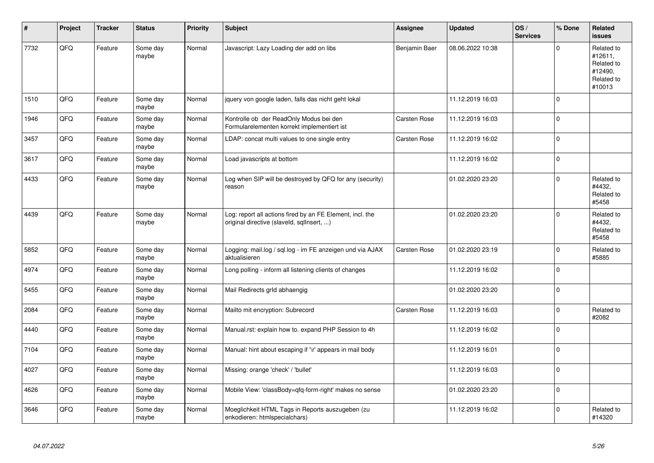| #    | Project | <b>Tracker</b> | <b>Status</b>     | <b>Priority</b> | <b>Subject</b>                                                                                         | Assignee      | <b>Updated</b>   | OS/<br><b>Services</b> | % Done      | Related<br><b>issues</b>                                               |
|------|---------|----------------|-------------------|-----------------|--------------------------------------------------------------------------------------------------------|---------------|------------------|------------------------|-------------|------------------------------------------------------------------------|
| 7732 | QFQ     | Feature        | Some day<br>maybe | Normal          | Javascript: Lazy Loading der add on libs                                                               | Benjamin Baer | 08.06.2022 10:38 |                        | $\mathbf 0$ | Related to<br>#12611,<br>Related to<br>#12490,<br>Related to<br>#10013 |
| 1510 | QFQ     | Feature        | Some day<br>maybe | Normal          | jquery von google laden, falls das nicht geht lokal                                                    |               | 11.12.2019 16:03 |                        | $\mathbf 0$ |                                                                        |
| 1946 | QFQ     | Feature        | Some day<br>maybe | Normal          | Kontrolle ob der ReadOnly Modus bei den<br>Formularelementen korrekt implementiert ist                 | Carsten Rose  | 11.12.2019 16:03 |                        | $\mathbf 0$ |                                                                        |
| 3457 | QFQ     | Feature        | Some day<br>maybe | Normal          | LDAP: concat multi values to one single entry                                                          | Carsten Rose  | 11.12.2019 16:02 |                        | $\mathbf 0$ |                                                                        |
| 3617 | QFQ     | Feature        | Some day<br>maybe | Normal          | Load javascripts at bottom                                                                             |               | 11.12.2019 16:02 |                        | $\pmb{0}$   |                                                                        |
| 4433 | QFQ     | Feature        | Some day<br>maybe | Normal          | Log when SIP will be destroyed by QFQ for any (security)<br>reason                                     |               | 01.02.2020 23:20 |                        | $\mathbf 0$ | Related to<br>#4432,<br>Related to<br>#5458                            |
| 4439 | QFQ     | Feature        | Some day<br>maybe | Normal          | Log: report all actions fired by an FE Element, incl. the<br>original directive (slaveld, sqllnsert, ) |               | 01.02.2020 23:20 |                        | $\mathbf 0$ | Related to<br>#4432.<br>Related to<br>#5458                            |
| 5852 | QFQ     | Feature        | Some day<br>maybe | Normal          | Logging: mail.log / sql.log - im FE anzeigen und via AJAX<br>aktualisieren                             | Carsten Rose  | 01.02.2020 23:19 |                        | $\mathbf 0$ | Related to<br>#5885                                                    |
| 4974 | QFQ     | Feature        | Some day<br>maybe | Normal          | Long polling - inform all listening clients of changes                                                 |               | 11.12.2019 16:02 |                        | $\Omega$    |                                                                        |
| 5455 | QFQ     | Feature        | Some day<br>maybe | Normal          | Mail Redirects grld abhaengig                                                                          |               | 01.02.2020 23:20 |                        | $\pmb{0}$   |                                                                        |
| 2084 | QFQ     | Feature        | Some day<br>maybe | Normal          | Mailto mit encryption: Subrecord                                                                       | Carsten Rose  | 11.12.2019 16:03 |                        | $\pmb{0}$   | Related to<br>#2082                                                    |
| 4440 | QFQ     | Feature        | Some day<br>maybe | Normal          | Manual.rst: explain how to. expand PHP Session to 4h                                                   |               | 11.12.2019 16:02 |                        | $\pmb{0}$   |                                                                        |
| 7104 | QFQ     | Feature        | Some day<br>maybe | Normal          | Manual: hint about escaping if '\r' appears in mail body                                               |               | 11.12.2019 16:01 |                        | $\mathbf 0$ |                                                                        |
| 4027 | QFQ     | Feature        | Some day<br>maybe | Normal          | Missing: orange 'check' / 'bullet'                                                                     |               | 11.12.2019 16:03 |                        | $\mathbf 0$ |                                                                        |
| 4626 | QFQ     | Feature        | Some day<br>maybe | Normal          | Mobile View: 'classBody=qfq-form-right' makes no sense                                                 |               | 01.02.2020 23:20 |                        | $\pmb{0}$   |                                                                        |
| 3646 | QFQ     | Feature        | Some day<br>maybe | Normal          | Moeglichkeit HTML Tags in Reports auszugeben (zu<br>enkodieren: htmlspecialchars)                      |               | 11.12.2019 16:02 |                        | $\mathbf 0$ | Related to<br>#14320                                                   |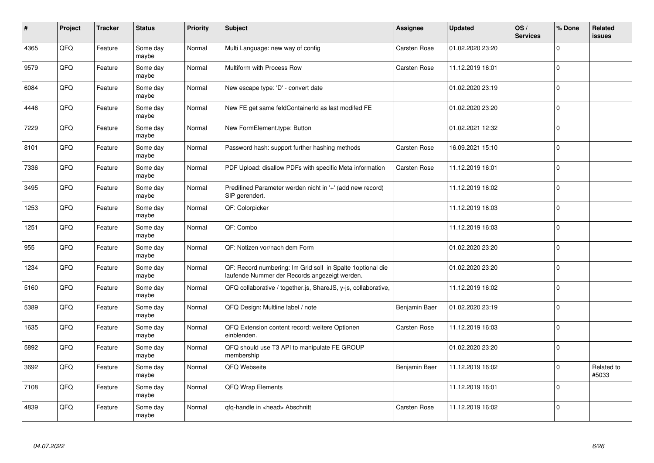| $\sharp$ | Project | <b>Tracker</b> | <b>Status</b>     | <b>Priority</b> | <b>Subject</b>                                                                                              | Assignee            | <b>Updated</b>   | OS/<br><b>Services</b> | % Done         | Related<br><b>issues</b> |
|----------|---------|----------------|-------------------|-----------------|-------------------------------------------------------------------------------------------------------------|---------------------|------------------|------------------------|----------------|--------------------------|
| 4365     | QFQ     | Feature        | Some day<br>maybe | Normal          | Multi Language: new way of config                                                                           | <b>Carsten Rose</b> | 01.02.2020 23:20 |                        | $\mathbf{0}$   |                          |
| 9579     | QFQ     | Feature        | Some day<br>maybe | Normal          | Multiform with Process Row                                                                                  | <b>Carsten Rose</b> | 11.12.2019 16:01 |                        | $\mathbf 0$    |                          |
| 6084     | QFQ     | Feature        | Some day<br>maybe | Normal          | New escape type: 'D' - convert date                                                                         |                     | 01.02.2020 23:19 |                        | $\mathbf 0$    |                          |
| 4446     | QFQ     | Feature        | Some day<br>maybe | Normal          | New FE get same feldContainerId as last modifed FE                                                          |                     | 01.02.2020 23:20 |                        | $\overline{0}$ |                          |
| 7229     | QFQ     | Feature        | Some day<br>maybe | Normal          | New FormElement.type: Button                                                                                |                     | 01.02.2021 12:32 |                        | $\mathbf 0$    |                          |
| 8101     | QFQ     | Feature        | Some day<br>maybe | Normal          | Password hash: support further hashing methods                                                              | Carsten Rose        | 16.09.2021 15:10 |                        | $\pmb{0}$      |                          |
| 7336     | QFQ     | Feature        | Some day<br>maybe | Normal          | PDF Upload: disallow PDFs with specific Meta information                                                    | Carsten Rose        | 11.12.2019 16:01 |                        | $\overline{0}$ |                          |
| 3495     | QFQ     | Feature        | Some day<br>maybe | Normal          | Predifined Parameter werden nicht in '+' (add new record)<br>SIP gerendert.                                 |                     | 11.12.2019 16:02 |                        | $\mathbf 0$    |                          |
| 1253     | QFQ     | Feature        | Some day<br>maybe | Normal          | QF: Colorpicker                                                                                             |                     | 11.12.2019 16:03 |                        | $\pmb{0}$      |                          |
| 1251     | QFQ     | Feature        | Some day<br>maybe | Normal          | QF: Combo                                                                                                   |                     | 11.12.2019 16:03 |                        | $\overline{0}$ |                          |
| 955      | QFQ     | Feature        | Some day<br>maybe | Normal          | QF: Notizen vor/nach dem Form                                                                               |                     | 01.02.2020 23:20 |                        | $\mathbf 0$    |                          |
| 1234     | QFQ     | Feature        | Some day<br>maybe | Normal          | QF: Record numbering: Im Grid soll in Spalte 1optional die<br>laufende Nummer der Records angezeigt werden. |                     | 01.02.2020 23:20 |                        | $\mathbf 0$    |                          |
| 5160     | QFQ     | Feature        | Some day<br>maybe | Normal          | QFQ collaborative / together.js, ShareJS, y-js, collaborative,                                              |                     | 11.12.2019 16:02 |                        | $\mathbf 0$    |                          |
| 5389     | QFQ     | Feature        | Some day<br>maybe | Normal          | QFQ Design: Multline label / note                                                                           | Benjamin Baer       | 01.02.2020 23:19 |                        | $\pmb{0}$      |                          |
| 1635     | QFQ     | Feature        | Some day<br>maybe | Normal          | QFQ Extension content record: weitere Optionen<br>einblenden.                                               | Carsten Rose        | 11.12.2019 16:03 |                        | $\mathbf 0$    |                          |
| 5892     | QFQ     | Feature        | Some day<br>maybe | Normal          | QFQ should use T3 API to manipulate FE GROUP<br>membership                                                  |                     | 01.02.2020 23:20 |                        | $\overline{0}$ |                          |
| 3692     | QFQ     | Feature        | Some day<br>maybe | Normal          | QFQ Webseite                                                                                                | Benjamin Baer       | 11.12.2019 16:02 |                        | $\mathbf 0$    | Related to<br>#5033      |
| 7108     | QFQ     | Feature        | Some day<br>maybe | Normal          | QFQ Wrap Elements                                                                                           |                     | 11.12.2019 16:01 |                        | $\pmb{0}$      |                          |
| 4839     | QFQ     | Feature        | Some day<br>maybe | Normal          | qfq-handle in <head> Abschnitt</head>                                                                       | <b>Carsten Rose</b> | 11.12.2019 16:02 |                        | $\overline{0}$ |                          |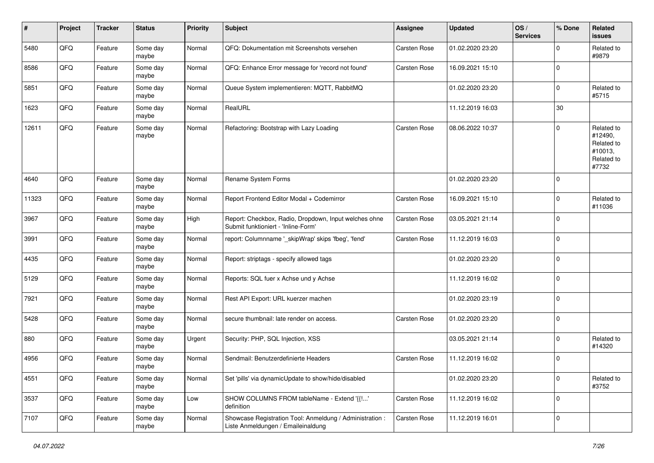| #     | Project | <b>Tracker</b> | <b>Status</b>     | <b>Priority</b> | Subject                                                                                        | <b>Assignee</b> | <b>Updated</b>   | OS/<br><b>Services</b> | % Done      | <b>Related</b><br>issues                                              |
|-------|---------|----------------|-------------------|-----------------|------------------------------------------------------------------------------------------------|-----------------|------------------|------------------------|-------------|-----------------------------------------------------------------------|
| 5480  | QFQ     | Feature        | Some day<br>maybe | Normal          | QFQ: Dokumentation mit Screenshots versehen                                                    | Carsten Rose    | 01.02.2020 23:20 |                        | $\Omega$    | Related to<br>#9879                                                   |
| 8586  | QFQ     | Feature        | Some day<br>maybe | Normal          | QFQ: Enhance Error message for 'record not found'                                              | Carsten Rose    | 16.09.2021 15:10 |                        | $\mathbf 0$ |                                                                       |
| 5851  | QFQ     | Feature        | Some day<br>maybe | Normal          | Queue System implementieren: MQTT, RabbitMQ                                                    |                 | 01.02.2020 23:20 |                        | $\mathbf 0$ | Related to<br>#5715                                                   |
| 1623  | QFQ     | Feature        | Some day<br>maybe | Normal          | RealURL                                                                                        |                 | 11.12.2019 16:03 |                        | 30          |                                                                       |
| 12611 | QFQ     | Feature        | Some day<br>maybe | Normal          | Refactoring: Bootstrap with Lazy Loading                                                       | Carsten Rose    | 08.06.2022 10:37 |                        | $\Omega$    | Related to<br>#12490,<br>Related to<br>#10013,<br>Related to<br>#7732 |
| 4640  | QFQ     | Feature        | Some day<br>maybe | Normal          | Rename System Forms                                                                            |                 | 01.02.2020 23:20 |                        | $\mathbf 0$ |                                                                       |
| 11323 | QFQ     | Feature        | Some day<br>maybe | Normal          | Report Frontend Editor Modal + Codemirror                                                      | Carsten Rose    | 16.09.2021 15:10 |                        | $\Omega$    | Related to<br>#11036                                                  |
| 3967  | QFQ     | Feature        | Some day<br>maybe | High            | Report: Checkbox, Radio, Dropdown, Input welches ohne<br>Submit funktioniert - 'Inline-Form'   | Carsten Rose    | 03.05.2021 21:14 |                        | $\Omega$    |                                                                       |
| 3991  | QFQ     | Feature        | Some day<br>maybe | Normal          | report: Columnname '_skipWrap' skips 'fbeg', 'fend'                                            | Carsten Rose    | 11.12.2019 16:03 |                        | $\Omega$    |                                                                       |
| 4435  | QFQ     | Feature        | Some day<br>maybe | Normal          | Report: striptags - specify allowed tags                                                       |                 | 01.02.2020 23:20 |                        | $\Omega$    |                                                                       |
| 5129  | QFQ     | Feature        | Some day<br>maybe | Normal          | Reports: SQL fuer x Achse und y Achse                                                          |                 | 11.12.2019 16:02 |                        | $\Omega$    |                                                                       |
| 7921  | QFQ     | Feature        | Some day<br>maybe | Normal          | Rest API Export: URL kuerzer machen                                                            |                 | 01.02.2020 23:19 |                        | $\mathbf 0$ |                                                                       |
| 5428  | QFQ     | Feature        | Some day<br>maybe | Normal          | secure thumbnail: late render on access.                                                       | Carsten Rose    | 01.02.2020 23:20 |                        | $\mathbf 0$ |                                                                       |
| 880   | QFQ     | Feature        | Some day<br>maybe | Urgent          | Security: PHP, SQL Injection, XSS                                                              |                 | 03.05.2021 21:14 |                        | $\Omega$    | Related to<br>#14320                                                  |
| 4956  | QFQ     | Feature        | Some day<br>maybe | Normal          | Sendmail: Benutzerdefinierte Headers                                                           | Carsten Rose    | 11.12.2019 16:02 |                        | $\Omega$    |                                                                       |
| 4551  | QFQ     | Feature        | Some day<br>maybe | Normal          | Set 'pills' via dynamicUpdate to show/hide/disabled                                            |                 | 01.02.2020 23:20 |                        | 0           | Related to<br>#3752                                                   |
| 3537  | QFQ     | Feature        | Some day<br>maybe | Low             | SHOW COLUMNS FROM tableName - Extend '{{!'<br>definition                                       | Carsten Rose    | 11.12.2019 16:02 |                        | 0           |                                                                       |
| 7107  | QFQ     | Feature        | Some day<br>maybe | Normal          | Showcase Registration Tool: Anmeldung / Administration :<br>Liste Anmeldungen / Emaileinaldung | Carsten Rose    | 11.12.2019 16:01 |                        | 0           |                                                                       |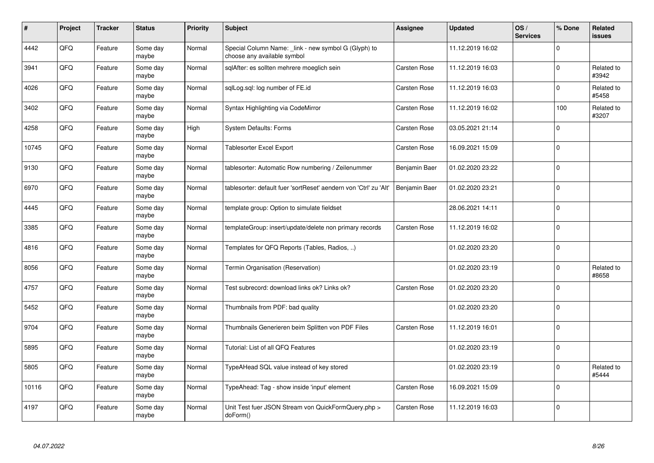| #     | Project | <b>Tracker</b> | <b>Status</b>     | <b>Priority</b> | <b>Subject</b>                                                                      | Assignee      | <b>Updated</b>   | OS/<br><b>Services</b> | % Done       | <b>Related</b><br>issues |
|-------|---------|----------------|-------------------|-----------------|-------------------------------------------------------------------------------------|---------------|------------------|------------------------|--------------|--------------------------|
| 4442  | QFQ     | Feature        | Some day<br>maybe | Normal          | Special Column Name: _link - new symbol G (Glyph) to<br>choose any available symbol |               | 11.12.2019 16:02 |                        | $\Omega$     |                          |
| 3941  | QFQ     | Feature        | Some day<br>maybe | Normal          | sglAfter: es sollten mehrere moeglich sein                                          | Carsten Rose  | 11.12.2019 16:03 |                        | $\Omega$     | Related to<br>#3942      |
| 4026  | QFQ     | Feature        | Some day<br>maybe | Normal          | sglLog.sgl: log number of FE.id                                                     | Carsten Rose  | 11.12.2019 16:03 |                        | $\mathbf 0$  | Related to<br>#5458      |
| 3402  | QFQ     | Feature        | Some day<br>maybe | Normal          | Syntax Highlighting via CodeMirror                                                  | Carsten Rose  | 11.12.2019 16:02 |                        | 100          | Related to<br>#3207      |
| 4258  | QFQ     | Feature        | Some day<br>maybe | High            | <b>System Defaults: Forms</b>                                                       | Carsten Rose  | 03.05.2021 21:14 |                        | $\mathbf 0$  |                          |
| 10745 | QFQ     | Feature        | Some day<br>maybe | Normal          | <b>Tablesorter Excel Export</b>                                                     | Carsten Rose  | 16.09.2021 15:09 |                        | $\mathbf{0}$ |                          |
| 9130  | QFQ     | Feature        | Some day<br>maybe | Normal          | tablesorter: Automatic Row numbering / Zeilenummer                                  | Benjamin Baer | 01.02.2020 23:22 |                        | $\mathbf 0$  |                          |
| 6970  | QFQ     | Feature        | Some day<br>maybe | Normal          | tablesorter: default fuer 'sortReset' aendern von 'Ctrl' zu 'Alt'                   | Benjamin Baer | 01.02.2020 23:21 |                        | $\mathbf{0}$ |                          |
| 4445  | QFQ     | Feature        | Some day<br>maybe | Normal          | template group: Option to simulate fieldset                                         |               | 28.06.2021 14:11 |                        | $\mathbf 0$  |                          |
| 3385  | QFQ     | Feature        | Some day<br>maybe | Normal          | templateGroup: insert/update/delete non primary records                             | Carsten Rose  | 11.12.2019 16:02 |                        | $\mathbf 0$  |                          |
| 4816  | QFQ     | Feature        | Some day<br>maybe | Normal          | Templates for QFQ Reports (Tables, Radios, )                                        |               | 01.02.2020 23:20 |                        | $\mathbf 0$  |                          |
| 8056  | QFQ     | Feature        | Some day<br>maybe | Normal          | Termin Organisation (Reservation)                                                   |               | 01.02.2020 23:19 |                        | $\mathbf 0$  | Related to<br>#8658      |
| 4757  | QFQ     | Feature        | Some day<br>maybe | Normal          | Test subrecord: download links ok? Links ok?                                        | Carsten Rose  | 01.02.2020 23:20 |                        | $\mathbf 0$  |                          |
| 5452  | QFQ     | Feature        | Some day<br>maybe | Normal          | Thumbnails from PDF: bad quality                                                    |               | 01.02.2020 23:20 |                        | $\mathbf 0$  |                          |
| 9704  | QFQ     | Feature        | Some day<br>maybe | Normal          | Thumbnails Generieren beim Splitten von PDF Files                                   | Carsten Rose  | 11.12.2019 16:01 |                        | $\Omega$     |                          |
| 5895  | QFQ     | Feature        | Some day<br>maybe | Normal          | Tutorial: List of all QFQ Features                                                  |               | 01.02.2020 23:19 |                        | $\mathbf{0}$ |                          |
| 5805  | QFQ     | Feature        | Some day<br>maybe | Normal          | TypeAHead SQL value instead of key stored                                           |               | 01.02.2020 23:19 |                        | $\Omega$     | Related to<br>#5444      |
| 10116 | QFQ     | Feature        | Some day<br>maybe | Normal          | TypeAhead: Tag - show inside 'input' element                                        | Carsten Rose  | 16.09.2021 15:09 |                        | $\mathbf 0$  |                          |
| 4197  | QFQ     | Feature        | Some day<br>maybe | Normal          | Unit Test fuer JSON Stream von QuickFormQuery.php ><br>doForm()                     | Carsten Rose  | 11.12.2019 16:03 |                        | $\mathbf 0$  |                          |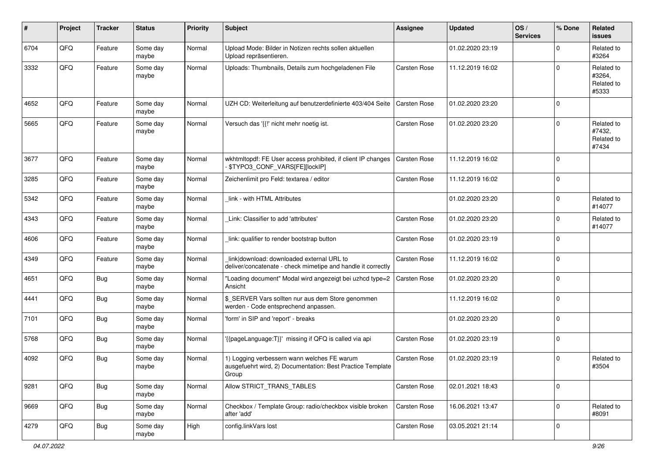| #    | Project | <b>Tracker</b> | <b>Status</b>     | <b>Priority</b> | Subject                                                                                                            | <b>Assignee</b>     | <b>Updated</b>   | OS/<br><b>Services</b> | % Done      | Related<br>issues                           |
|------|---------|----------------|-------------------|-----------------|--------------------------------------------------------------------------------------------------------------------|---------------------|------------------|------------------------|-------------|---------------------------------------------|
| 6704 | QFQ     | Feature        | Some day<br>maybe | Normal          | Upload Mode: Bilder in Notizen rechts sollen aktuellen<br>Upload repräsentieren.                                   |                     | 01.02.2020 23:19 |                        | $\Omega$    | Related to<br>#3264                         |
| 3332 | QFQ     | Feature        | Some day<br>maybe | Normal          | Uploads: Thumbnails, Details zum hochgeladenen File                                                                | <b>Carsten Rose</b> | 11.12.2019 16:02 |                        | $\Omega$    | Related to<br>#3264,<br>Related to<br>#5333 |
| 4652 | QFQ     | Feature        | Some day<br>maybe | Normal          | UZH CD: Weiterleitung auf benutzerdefinierte 403/404 Seite                                                         | Carsten Rose        | 01.02.2020 23:20 |                        | $\Omega$    |                                             |
| 5665 | QFQ     | Feature        | Some day<br>maybe | Normal          | Versuch das '{{!' nicht mehr noetig ist.                                                                           | Carsten Rose        | 01.02.2020 23:20 |                        | $\Omega$    | Related to<br>#7432,<br>Related to<br>#7434 |
| 3677 | QFQ     | Feature        | Some day<br>maybe | Normal          | wkhtmltopdf: FE User access prohibited, if client IP changes<br>\$TYPO3_CONF_VARS[FE][lockIP]                      | Carsten Rose        | 11.12.2019 16:02 |                        | $\Omega$    |                                             |
| 3285 | QFQ     | Feature        | Some day<br>maybe | Normal          | Zeichenlimit pro Feld: textarea / editor                                                                           | Carsten Rose        | 11.12.2019 16:02 |                        | $\mathbf 0$ |                                             |
| 5342 | QFQ     | Feature        | Some day<br>maybe | Normal          | link - with HTML Attributes                                                                                        |                     | 01.02.2020 23:20 |                        | $\Omega$    | Related to<br>#14077                        |
| 4343 | QFQ     | Feature        | Some day<br>maybe | Normal          | Link: Classifier to add 'attributes'                                                                               | Carsten Rose        | 01.02.2020 23:20 |                        | $\Omega$    | Related to<br>#14077                        |
| 4606 | QFQ     | Feature        | Some day<br>maybe | Normal          | link: qualifier to render bootstrap button                                                                         | Carsten Rose        | 01.02.2020 23:19 |                        | $\Omega$    |                                             |
| 4349 | QFQ     | Feature        | Some day<br>maybe | Normal          | link download: downloaded external URL to<br>deliver/concatenate - check mimetipe and handle it correctly          | Carsten Rose        | 11.12.2019 16:02 |                        | $\Omega$    |                                             |
| 4651 | QFQ     | <b>Bug</b>     | Some day<br>maybe | Normal          | "Loading document" Modal wird angezeigt bei uzhcd type=2<br>Ansicht                                                | <b>Carsten Rose</b> | 01.02.2020 23:20 |                        | $\Omega$    |                                             |
| 4441 | QFQ     | Bug            | Some day<br>maybe | Normal          | \$ SERVER Vars sollten nur aus dem Store genommen<br>werden - Code entsprechend anpassen.                          |                     | 11.12.2019 16:02 |                        | $\Omega$    |                                             |
| 7101 | QFQ     | Bug            | Some day<br>maybe | Normal          | 'form' in SIP and 'report' - breaks                                                                                |                     | 01.02.2020 23:20 |                        | $\mathbf 0$ |                                             |
| 5768 | QFQ     | <b>Bug</b>     | Some day<br>maybe | Normal          | {{pageLanguage:T}}' missing if QFQ is called via api                                                               | Carsten Rose        | 01.02.2020 23:19 |                        | $\mathbf 0$ |                                             |
| 4092 | QFQ     | Bug            | Some day<br>maybe | Normal          | 1) Logging verbessern wann welches FE warum<br>ausgefuehrt wird, 2) Documentation: Best Practice Template<br>Group | Carsten Rose        | 01.02.2020 23:19 |                        | $\Omega$    | Related to<br>#3504                         |
| 9281 | QFQ     | <b>Bug</b>     | Some day<br>maybe | Normal          | Allow STRICT_TRANS_TABLES                                                                                          | Carsten Rose        | 02.01.2021 18:43 |                        | $\mathbf 0$ |                                             |
| 9669 | QFQ     | Bug            | Some day<br>maybe | Normal          | Checkbox / Template Group: radio/checkbox visible broken<br>after 'add'                                            | Carsten Rose        | 16.06.2021 13:47 |                        | 0           | Related to<br>#8091                         |
| 4279 | QFQ     | Bug            | Some day<br>maybe | High            | config.linkVars lost                                                                                               | Carsten Rose        | 03.05.2021 21:14 |                        | 0           |                                             |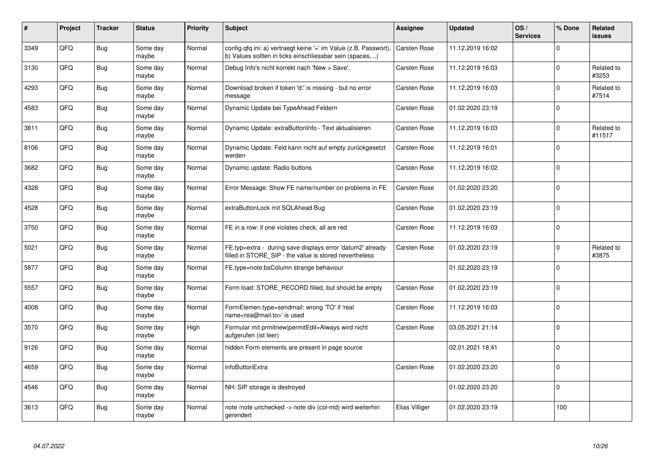| #    | Project | <b>Tracker</b> | <b>Status</b>     | <b>Priority</b> | <b>Subject</b>                                                                                                                | Assignee            | <b>Updated</b>   | OS/<br><b>Services</b> | % Done      | Related<br><b>issues</b> |
|------|---------|----------------|-------------------|-----------------|-------------------------------------------------------------------------------------------------------------------------------|---------------------|------------------|------------------------|-------------|--------------------------|
| 3349 | QFQ     | Bug            | Some day<br>maybe | Normal          | config.qfq.ini: a) vertraegt keine '=' im Value (z.B. Passwort),<br>b) Values sollten in ticks einschliessbar sein (spaces, ) | <b>Carsten Rose</b> | 11.12.2019 16:02 |                        | $\Omega$    |                          |
| 3130 | QFQ     | Bug            | Some day<br>maybe | Normal          | Debug Info's nicht korrekt nach 'New > Save'.                                                                                 | Carsten Rose        | 11.12.2019 16:03 |                        | $\mathbf 0$ | Related to<br>#3253      |
| 4293 | QFQ     | Bug            | Some day<br>maybe | Normal          | Download broken if token 'd:' is missing - but no error<br>message                                                            | <b>Carsten Rose</b> | 11.12.2019 16:03 |                        | $\mathbf 0$ | Related to<br>#7514      |
| 4583 | QFQ     | <b>Bug</b>     | Some day<br>maybe | Normal          | Dynamic Update bei TypeAhead Feldern                                                                                          | <b>Carsten Rose</b> | 01.02.2020 23:19 |                        | $\mathbf 0$ |                          |
| 3811 | QFQ     | Bug            | Some day<br>maybe | Normal          | Dynamic Update: extraButtonInfo - Text aktualisieren                                                                          | Carsten Rose        | 11.12.2019 16:03 |                        | $\mathbf 0$ | Related to<br>#11517     |
| 8106 | QFQ     | Bug            | Some day<br>maybe | Normal          | Dynamic Update: Feld kann nicht auf empty zurückgesetzt<br>werden                                                             | Carsten Rose        | 11.12.2019 16:01 |                        | $\Omega$    |                          |
| 3682 | QFQ     | Bug            | Some day<br>maybe | Normal          | Dynamic update: Radio buttons                                                                                                 | Carsten Rose        | 11.12.2019 16:02 |                        | $\mathbf 0$ |                          |
| 4328 | QFQ     | Bug            | Some day<br>maybe | Normal          | Error Message: Show FE name/number on problems in FE                                                                          | Carsten Rose        | 01.02.2020 23:20 |                        | $\mathbf 0$ |                          |
| 4528 | QFQ     | Bug            | Some day<br>maybe | Normal          | extraButtonLock mit SQLAhead Bug                                                                                              | Carsten Rose        | 01.02.2020 23:19 |                        | $\mathbf 0$ |                          |
| 3750 | QFQ     | Bug            | Some day<br>maybe | Normal          | FE in a row: if one violates check, all are red                                                                               | Carsten Rose        | 11.12.2019 16:03 |                        | $\pmb{0}$   |                          |
| 5021 | QFQ     | Bug            | Some day<br>maybe | Normal          | FE.typ=extra - during save displays error 'datum2' already<br>filled in STORE_SIP - the value is stored nevertheless          | Carsten Rose        | 01.02.2020 23:19 |                        | $\mathbf 0$ | Related to<br>#3875      |
| 5877 | QFQ     | Bug            | Some day<br>maybe | Normal          | FE.type=note:bsColumn strange behaviour                                                                                       |                     | 01.02.2020 23:19 |                        | $\mathbf 0$ |                          |
| 5557 | QFQ     | Bug            | Some day<br>maybe | Normal          | Form load: STORE RECORD filled, but should be empty                                                                           | <b>Carsten Rose</b> | 01.02.2020 23:19 |                        | $\mathbf 0$ |                          |
| 4008 | QFQ     | <b>Bug</b>     | Some day<br>maybe | Normal          | FormElemen.type=sendmail: wrong 'TO' if 'real<br>name <rea@mail.to>' is used</rea@mail.to>                                    | <b>Carsten Rose</b> | 11.12.2019 16:03 |                        | $\mathbf 0$ |                          |
| 3570 | QFQ     | Bug            | Some day<br>maybe | High            | Formular mit prmitnew permitEdit=Always wird nicht<br>aufgerufen (ist leer)                                                   | <b>Carsten Rose</b> | 03.05.2021 21:14 |                        | $\mathbf 0$ |                          |
| 9126 | QFQ     | Bug            | Some day<br>maybe | Normal          | hidden Form elements are present in page source                                                                               |                     | 02.01.2021 18:41 |                        | $\Omega$    |                          |
| 4659 | QFQ     | <b>Bug</b>     | Some day<br>maybe | Normal          | infoButtonExtra                                                                                                               | Carsten Rose        | 01.02.2020 23:20 |                        | $\Omega$    |                          |
| 4546 | QFQ     | Bug            | Some day<br>maybe | Normal          | NH: SIP storage is destroyed                                                                                                  |                     | 01.02.2020 23:20 |                        | $\mathbf 0$ |                          |
| 3613 | QFQ     | Bug            | Some day<br>maybe | Normal          | note /note unchecked -> note div (col-md) wird weiterhin<br>gerendert                                                         | Elias Villiger      | 01.02.2020 23:19 |                        | 100         |                          |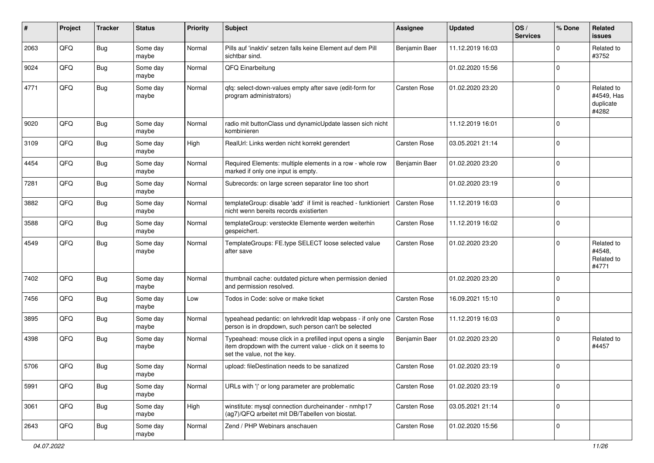| #    | Project | <b>Tracker</b> | <b>Status</b>     | <b>Priority</b> | <b>Subject</b>                                                                                                                                           | Assignee      | <b>Updated</b>   | OS/<br><b>Services</b> | % Done      | Related<br>issues                              |
|------|---------|----------------|-------------------|-----------------|----------------------------------------------------------------------------------------------------------------------------------------------------------|---------------|------------------|------------------------|-------------|------------------------------------------------|
| 2063 | QFQ     | <b>Bug</b>     | Some day<br>maybe | Normal          | Pills auf 'inaktiv' setzen falls keine Element auf dem Pill<br>sichtbar sind.                                                                            | Benjamin Baer | 11.12.2019 16:03 |                        | $\Omega$    | Related to<br>#3752                            |
| 9024 | QFQ     | <b>Bug</b>     | Some day<br>maybe | Normal          | QFQ Einarbeitung                                                                                                                                         |               | 01.02.2020 15:56 |                        | $\mathbf 0$ |                                                |
| 4771 | QFQ     | <b>Bug</b>     | Some day<br>maybe | Normal          | qfq: select-down-values empty after save (edit-form for<br>program administrators)                                                                       | Carsten Rose  | 01.02.2020 23:20 |                        | $\Omega$    | Related to<br>#4549, Has<br>duplicate<br>#4282 |
| 9020 | QFQ     | Bug            | Some day<br>maybe | Normal          | radio mit buttonClass und dynamicUpdate lassen sich nicht<br>kombinieren                                                                                 |               | 11.12.2019 16:01 |                        | $\mathbf 0$ |                                                |
| 3109 | QFQ     | Bug            | Some day<br>maybe | High            | RealUrl: Links werden nicht korrekt gerendert                                                                                                            | Carsten Rose  | 03.05.2021 21:14 |                        | $\Omega$    |                                                |
| 4454 | QFQ     | Bug            | Some day<br>maybe | Normal          | Required Elements: multiple elements in a row - whole row<br>marked if only one input is empty.                                                          | Benjamin Baer | 01.02.2020 23:20 |                        | $\mathbf 0$ |                                                |
| 7281 | QFQ     | Bug            | Some day<br>maybe | Normal          | Subrecords: on large screen separator line too short                                                                                                     |               | 01.02.2020 23:19 |                        | $\mathbf 0$ |                                                |
| 3882 | QFQ     | <b>Bug</b>     | Some day<br>maybe | Normal          | templateGroup: disable 'add' if limit is reached - funktioniert<br>nicht wenn bereits records existierten                                                | Carsten Rose  | 11.12.2019 16:03 |                        | $\mathbf 0$ |                                                |
| 3588 | QFQ     | Bug            | Some day<br>maybe | Normal          | templateGroup: versteckte Elemente werden weiterhin<br>gespeichert.                                                                                      | Carsten Rose  | 11.12.2019 16:02 |                        | $\mathbf 0$ |                                                |
| 4549 | QFQ     | <b>Bug</b>     | Some day<br>maybe | Normal          | TemplateGroups: FE.type SELECT loose selected value<br>after save                                                                                        | Carsten Rose  | 01.02.2020 23:20 |                        | $\mathbf 0$ | Related to<br>#4548,<br>Related to<br>#4771    |
| 7402 | QFQ     | <b>Bug</b>     | Some day<br>maybe | Normal          | thumbnail cache: outdated picture when permission denied<br>and permission resolved.                                                                     |               | 01.02.2020 23:20 |                        | $\Omega$    |                                                |
| 7456 | QFQ     | <b>Bug</b>     | Some day<br>maybe | Low             | Todos in Code: solve or make ticket                                                                                                                      | Carsten Rose  | 16.09.2021 15:10 |                        | $\mathbf 0$ |                                                |
| 3895 | QFQ     | Bug            | Some day<br>maybe | Normal          | typeahead pedantic: on lehrkredit Idap webpass - if only one<br>person is in dropdown, such person can't be selected                                     | Carsten Rose  | 11.12.2019 16:03 |                        | $\mathbf 0$ |                                                |
| 4398 | QFQ     | <b>Bug</b>     | Some day<br>maybe | Normal          | Typeahead: mouse click in a prefilled input opens a single<br>item dropdown with the current value - click on it seems to<br>set the value, not the key. | Benjamin Baer | 01.02.2020 23:20 |                        | $\mathbf 0$ | Related to<br>#4457                            |
| 5706 | QFQ     | Bug            | Some day<br>maybe | Normal          | upload: fileDestination needs to be sanatized                                                                                                            | Carsten Rose  | 01.02.2020 23:19 |                        | 0           |                                                |
| 5991 | QFQ     | Bug            | Some day<br>maybe | Normal          | URLs with ' ' or long parameter are problematic                                                                                                          | Carsten Rose  | 01.02.2020 23:19 |                        | $\mathbf 0$ |                                                |
| 3061 | QFQ     | <b>Bug</b>     | Some day<br>maybe | High            | winstitute: mysql connection durcheinander - nmhp17<br>(ag7)/QFQ arbeitet mit DB/Tabellen von biostat.                                                   | Carsten Rose  | 03.05.2021 21:14 |                        | $\mathbf 0$ |                                                |
| 2643 | QFQ     | <b>Bug</b>     | Some day<br>maybe | Normal          | Zend / PHP Webinars anschauen                                                                                                                            | Carsten Rose  | 01.02.2020 15:56 |                        | $\mathbf 0$ |                                                |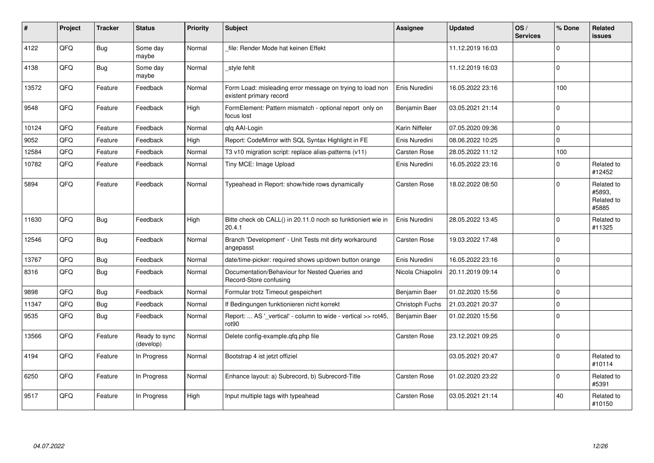| #     | Project | <b>Tracker</b> | <b>Status</b>              | <b>Priority</b> | <b>Subject</b>                                                                       | Assignee          | <b>Updated</b>   | OS/<br><b>Services</b> | % Done      | <b>Related</b><br>issues                    |
|-------|---------|----------------|----------------------------|-----------------|--------------------------------------------------------------------------------------|-------------------|------------------|------------------------|-------------|---------------------------------------------|
| 4122  | QFQ     | Bug            | Some day<br>maybe          | Normal          | file: Render Mode hat keinen Effekt                                                  |                   | 11.12.2019 16:03 |                        | $\mathbf 0$ |                                             |
| 4138  | QFQ     | Bug            | Some day<br>maybe          | Normal          | style fehlt                                                                          |                   | 11.12.2019 16:03 |                        | $\mathbf 0$ |                                             |
| 13572 | QFQ     | Feature        | Feedback                   | Normal          | Form Load: misleading error message on trying to load non<br>existent primary record | Enis Nuredini     | 16.05.2022 23:16 |                        | 100         |                                             |
| 9548  | QFQ     | Feature        | Feedback                   | High            | FormElement: Pattern mismatch - optional report only on<br>focus lost                | Benjamin Baer     | 03.05.2021 21:14 |                        | $\mathbf 0$ |                                             |
| 10124 | QFQ     | Feature        | Feedback                   | Normal          | qfq AAI-Login                                                                        | Karin Niffeler    | 07.05.2020 09:36 |                        | $\mathbf 0$ |                                             |
| 9052  | QFQ     | Feature        | Feedback                   | High            | Report: CodeMirror with SQL Syntax Highlight in FE                                   | Enis Nuredini     | 08.06.2022 10:25 |                        | $\Omega$    |                                             |
| 12584 | QFQ     | Feature        | Feedback                   | Normal          | T3 v10 migration script: replace alias-patterns (v11)                                | Carsten Rose      | 28.05.2022 11:12 |                        | 100         |                                             |
| 10782 | QFQ     | Feature        | Feedback                   | Normal          | Tiny MCE: Image Upload                                                               | Enis Nuredini     | 16.05.2022 23:16 |                        | $\Omega$    | Related to<br>#12452                        |
| 5894  | QFQ     | Feature        | Feedback                   | Normal          | Typeahead in Report: show/hide rows dynamically                                      | Carsten Rose      | 18.02.2022 08:50 |                        | $\mathbf 0$ | Related to<br>#5893.<br>Related to<br>#5885 |
| 11630 | QFQ     | Bug            | Feedback                   | High            | Bitte check ob CALL() in 20.11.0 noch so funktioniert wie in<br>20.4.1               | Enis Nuredini     | 28.05.2022 13:45 |                        | $\Omega$    | Related to<br>#11325                        |
| 12546 | QFQ     | Bug            | Feedback                   | Normal          | Branch 'Development' - Unit Tests mit dirty workaround<br>angepasst                  | Carsten Rose      | 19.03.2022 17:48 |                        | $\mathbf 0$ |                                             |
| 13767 | QFQ     | Bug            | Feedback                   | Normal          | date/time-picker: required shows up/down button orange                               | Enis Nuredini     | 16.05.2022 23:16 |                        | $\mathbf 0$ |                                             |
| 8316  | QFQ     | Bug            | Feedback                   | Normal          | Documentation/Behaviour for Nested Queries and<br>Record-Store confusing             | Nicola Chiapolini | 20.11.2019 09:14 |                        | $\Omega$    |                                             |
| 9898  | QFQ     | <b>Bug</b>     | Feedback                   | Normal          | Formular trotz Timeout gespeichert                                                   | Benjamin Baer     | 01.02.2020 15:56 |                        | $\mathbf 0$ |                                             |
| 11347 | QFQ     | <b>Bug</b>     | Feedback                   | Normal          | If Bedingungen funktionieren nicht korrekt                                           | Christoph Fuchs   | 21.03.2021 20:37 |                        | $\mathbf 0$ |                                             |
| 9535  | QFQ     | Bug            | Feedback                   | Normal          | Report:  AS '_vertical' - column to wide - vertical >> rot45,<br>rot <sub>90</sub>   | Benjamin Baer     | 01.02.2020 15:56 |                        | $\Omega$    |                                             |
| 13566 | QFQ     | Feature        | Ready to sync<br>(develop) | Normal          | Delete config-example.gfg.php file                                                   | Carsten Rose      | 23.12.2021 09:25 |                        | $\mathbf 0$ |                                             |
| 4194  | QFQ     | Feature        | In Progress                | Normal          | Bootstrap 4 ist jetzt offiziel                                                       |                   | 03.05.2021 20:47 |                        | $\mathbf 0$ | Related to<br>#10114                        |
| 6250  | QFQ     | Feature        | In Progress                | Normal          | Enhance layout: a) Subrecord, b) Subrecord-Title                                     | Carsten Rose      | 01.02.2020 23:22 |                        | $\Omega$    | Related to<br>#5391                         |
| 9517  | QFQ     | Feature        | In Progress                | High            | Input multiple tags with typeahead                                                   | Carsten Rose      | 03.05.2021 21:14 |                        | 40          | Related to<br>#10150                        |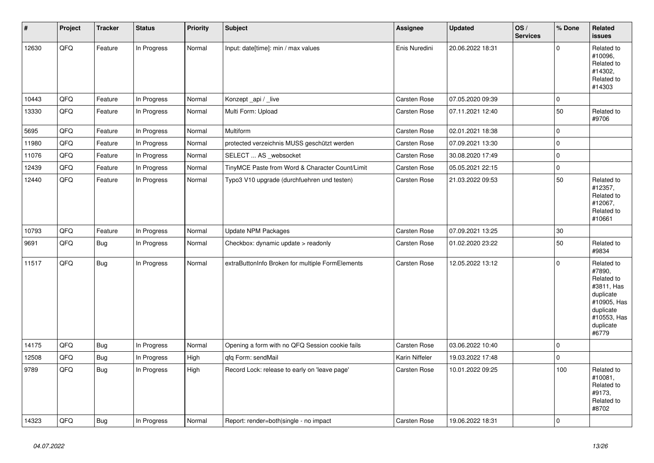| $\vert$ # | Project | <b>Tracker</b> | <b>Status</b> | Priority | <b>Subject</b>                                   | Assignee       | <b>Updated</b>   | OS/<br><b>Services</b> | % Done      | Related<br><b>issues</b>                                                                                                       |
|-----------|---------|----------------|---------------|----------|--------------------------------------------------|----------------|------------------|------------------------|-------------|--------------------------------------------------------------------------------------------------------------------------------|
| 12630     | QFQ     | Feature        | In Progress   | Normal   | Input: date[time]: min / max values              | Enis Nuredini  | 20.06.2022 18:31 |                        | $\Omega$    | Related to<br>#10096,<br>Related to<br>#14302.<br>Related to<br>#14303                                                         |
| 10443     | QFQ     | Feature        | In Progress   | Normal   | Konzept_api / _live                              | Carsten Rose   | 07.05.2020 09:39 |                        | 0           |                                                                                                                                |
| 13330     | QFQ     | Feature        | In Progress   | Normal   | Multi Form: Upload                               | Carsten Rose   | 07.11.2021 12:40 |                        | 50          | Related to<br>#9706                                                                                                            |
| 5695      | QFQ     | Feature        | In Progress   | Normal   | <b>Multiform</b>                                 | Carsten Rose   | 02.01.2021 18:38 |                        | $\mathbf 0$ |                                                                                                                                |
| 11980     | QFQ     | Feature        | In Progress   | Normal   | protected verzeichnis MUSS geschützt werden      | Carsten Rose   | 07.09.2021 13:30 |                        | $\mathbf 0$ |                                                                                                                                |
| 11076     | QFQ     | Feature        | In Progress   | Normal   | SELECT  AS _websocket                            | Carsten Rose   | 30.08.2020 17:49 |                        | $\Omega$    |                                                                                                                                |
| 12439     | QFQ     | Feature        | In Progress   | Normal   | TinyMCE Paste from Word & Character Count/Limit  | Carsten Rose   | 05.05.2021 22:15 |                        | $\mathbf 0$ |                                                                                                                                |
| 12440     | QFQ     | Feature        | In Progress   | Normal   | Typo3 V10 upgrade (durchfuehren und testen)      | Carsten Rose   | 21.03.2022 09:53 |                        | 50          | Related to<br>#12357,<br>Related to<br>#12067,<br>Related to<br>#10661                                                         |
| 10793     | QFQ     | Feature        | In Progress   | Normal   | Update NPM Packages                              | Carsten Rose   | 07.09.2021 13:25 |                        | 30          |                                                                                                                                |
| 9691      | QFQ     | <b>Bug</b>     | In Progress   | Normal   | Checkbox: dynamic update > readonly              | Carsten Rose   | 01.02.2020 23:22 |                        | 50          | Related to<br>#9834                                                                                                            |
| 11517     | QFQ     | Bug            | In Progress   | Normal   | extraButtonInfo Broken for multiple FormElements | Carsten Rose   | 12.05.2022 13:12 |                        | $\Omega$    | Related to<br>#7890,<br>Related to<br>#3811, Has<br>duplicate<br>#10905, Has<br>duplicate<br>#10553, Has<br>duplicate<br>#6779 |
| 14175     | QFQ     | <b>Bug</b>     | In Progress   | Normal   | Opening a form with no QFQ Session cookie fails  | Carsten Rose   | 03.06.2022 10:40 |                        | $\mathbf 0$ |                                                                                                                                |
| 12508     | QFQ     | <b>Bug</b>     | In Progress   | High     | qfq Form: sendMail                               | Karin Niffeler | 19.03.2022 17:48 |                        | $\pmb{0}$   |                                                                                                                                |
| 9789      | QFO     | <b>Bug</b>     | In Progress   | High     | Record Lock: release to early on 'leave page'    | Carsten Rose   | 10.01.2022 09:25 |                        | 100         | Related to<br>#10081,<br>Related to<br>#9173,<br>Related to<br>#8702                                                           |
| 14323     | QFQ     | <b>Bug</b>     | In Progress   | Normal   | Report: render=both single - no impact           | Carsten Rose   | 19.06.2022 18:31 |                        | $\Omega$    |                                                                                                                                |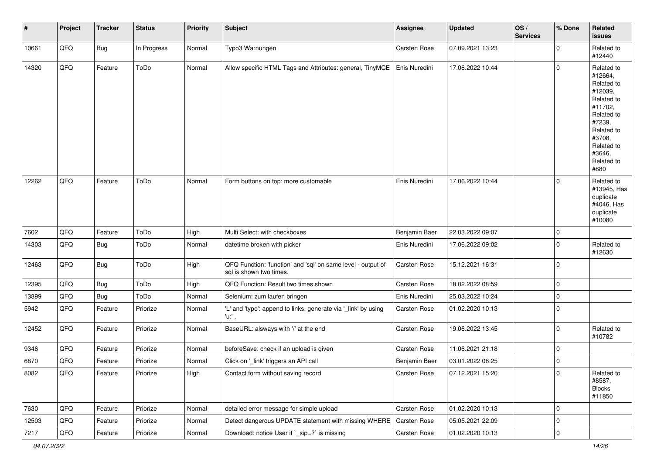| #     | Project | <b>Tracker</b> | <b>Status</b> | <b>Priority</b> | Subject                                                                                 | Assignee            | <b>Updated</b>   | OS/<br><b>Services</b> | % Done      | Related<br><b>issues</b>                                                                                                                                              |
|-------|---------|----------------|---------------|-----------------|-----------------------------------------------------------------------------------------|---------------------|------------------|------------------------|-------------|-----------------------------------------------------------------------------------------------------------------------------------------------------------------------|
| 10661 | QFQ     | Bug            | In Progress   | Normal          | Typo3 Warnungen                                                                         | Carsten Rose        | 07.09.2021 13:23 |                        | $\mathbf 0$ | Related to<br>#12440                                                                                                                                                  |
| 14320 | QFQ     | Feature        | ToDo          | Normal          | Allow specific HTML Tags and Attributes: general, TinyMCE                               | Enis Nuredini       | 17.06.2022 10:44 |                        | $\pmb{0}$   | Related to<br>#12664,<br>Related to<br>#12039,<br>Related to<br>#11702,<br>Related to<br>#7239,<br>Related to<br>#3708,<br>Related to<br>#3646,<br>Related to<br>#880 |
| 12262 | QFQ     | Feature        | ToDo          | Normal          | Form buttons on top: more customable                                                    | Enis Nuredini       | 17.06.2022 10:44 |                        | 0           | Related to<br>#13945, Has<br>duplicate<br>#4046, Has<br>duplicate<br>#10080                                                                                           |
| 7602  | QFQ     | Feature        | ToDo          | High            | Multi Select: with checkboxes                                                           | Benjamin Baer       | 22.03.2022 09:07 |                        | $\pmb{0}$   |                                                                                                                                                                       |
| 14303 | QFQ     | <b>Bug</b>     | ToDo          | Normal          | datetime broken with picker                                                             | Enis Nuredini       | 17.06.2022 09:02 |                        | $\mathbf 0$ | Related to<br>#12630                                                                                                                                                  |
| 12463 | QFQ     | <b>Bug</b>     | ToDo          | High            | QFQ Function: 'function' and 'sql' on same level - output of<br>sql is shown two times. | Carsten Rose        | 15.12.2021 16:31 |                        | $\pmb{0}$   |                                                                                                                                                                       |
| 12395 | QFQ     | Bug            | ToDo          | High            | QFQ Function: Result two times shown                                                    | <b>Carsten Rose</b> | 18.02.2022 08:59 |                        | $\pmb{0}$   |                                                                                                                                                                       |
| 13899 | QFQ     | Bug            | ToDo          | Normal          | Selenium: zum laufen bringen                                                            | Enis Nuredini       | 25.03.2022 10:24 |                        | $\pmb{0}$   |                                                                                                                                                                       |
| 5942  | QFQ     | Feature        | Priorize      | Normal          | 'L' and 'type': append to links, generate via '_link' by using<br>'u.' .                | Carsten Rose        | 01.02.2020 10:13 |                        | $\mathbf 0$ |                                                                                                                                                                       |
| 12452 | QFQ     | Feature        | Priorize      | Normal          | BaseURL: alsways with '/' at the end                                                    | <b>Carsten Rose</b> | 19.06.2022 13:45 |                        | $\mathbf 0$ | Related to<br>#10782                                                                                                                                                  |
| 9346  | QFQ     | Feature        | Priorize      | Normal          | beforeSave: check if an upload is given                                                 | Carsten Rose        | 11.06.2021 21:18 |                        | $\pmb{0}$   |                                                                                                                                                                       |
| 6870  | QFQ     | Feature        | Priorize      | Normal          | Click on '_link' triggers an API call                                                   | Benjamin Baer       | 03.01.2022 08:25 |                        | $\mathbf 0$ |                                                                                                                                                                       |
| 8082  | QFQ     | Feature        | Priorize      | High            | Contact form without saving record                                                      | Carsten Rose        | 07.12.2021 15:20 |                        | 0           | Related to<br>#8587,<br><b>Blocks</b><br>#11850                                                                                                                       |
| 7630  | QFQ     | Feature        | Priorize      | Normal          | detailed error message for simple upload                                                | Carsten Rose        | 01.02.2020 10:13 |                        | $\pmb{0}$   |                                                                                                                                                                       |
| 12503 | QFQ     | Feature        | Priorize      | Normal          | Detect dangerous UPDATE statement with missing WHERE                                    | Carsten Rose        | 05.05.2021 22:09 |                        | $\pmb{0}$   |                                                                                                                                                                       |
| 7217  | QFQ     | Feature        | Priorize      | Normal          | Download: notice User if `_sip=?` is missing                                            | Carsten Rose        | 01.02.2020 10:13 |                        | $\mathsf 0$ |                                                                                                                                                                       |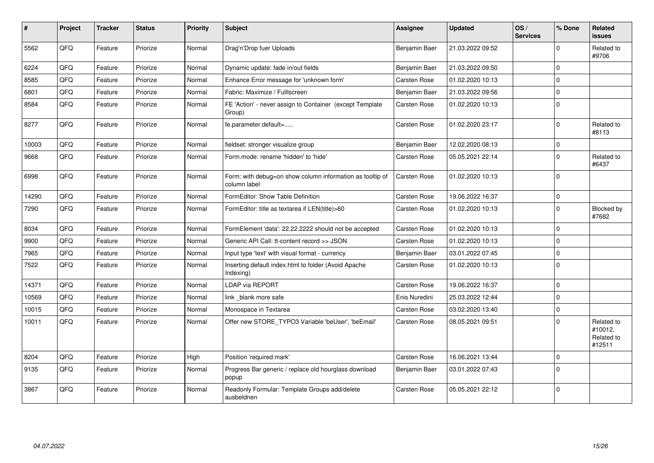| #     | Project | <b>Tracker</b> | <b>Status</b> | <b>Priority</b> | <b>Subject</b>                                                            | Assignee            | <b>Updated</b>   | OS/<br><b>Services</b> | % Done       | <b>Related</b><br><b>issues</b>               |
|-------|---------|----------------|---------------|-----------------|---------------------------------------------------------------------------|---------------------|------------------|------------------------|--------------|-----------------------------------------------|
| 5562  | QFQ     | Feature        | Priorize      | Normal          | Drag'n'Drop fuer Uploads                                                  | Benjamin Baer       | 21.03.2022 09:52 |                        | $\Omega$     | Related to<br>#9706                           |
| 6224  | QFQ     | Feature        | Priorize      | Normal          | Dynamic update: fade in/out fields                                        | Benjamin Baer       | 21.03.2022 09:50 |                        | $\Omega$     |                                               |
| 8585  | QFQ     | Feature        | Priorize      | Normal          | Enhance Error message for 'unknown form'                                  | Carsten Rose        | 01.02.2020 10:13 |                        | $\mathbf 0$  |                                               |
| 6801  | QFQ     | Feature        | Priorize      | Normal          | Fabric: Maximize / FullIscreen                                            | Benjamin Baer       | 21.03.2022 09:56 |                        | $\Omega$     |                                               |
| 8584  | QFQ     | Feature        | Priorize      | Normal          | FE 'Action' - never assign to Container (except Template<br>Group)        | Carsten Rose        | 01.02.2020 10:13 |                        | $\mathbf 0$  |                                               |
| 8277  | QFQ     | Feature        | Priorize      | Normal          | fe.parameter.default=                                                     | Carsten Rose        | 01.02.2020 23:17 |                        | $\Omega$     | Related to<br>#8113                           |
| 10003 | QFQ     | Feature        | Priorize      | Normal          | fieldset: stronger visualize group                                        | Benjamin Baer       | 12.02.2020 08:13 |                        | $\mathbf 0$  |                                               |
| 9668  | QFQ     | Feature        | Priorize      | Normal          | Form.mode: rename 'hidden' to 'hide'                                      | Carsten Rose        | 05.05.2021 22:14 |                        | $\mathbf 0$  | Related to<br>#6437                           |
| 6998  | QFQ     | Feature        | Priorize      | Normal          | Form: with debug=on show column information as tooltip of<br>column label | Carsten Rose        | 01.02.2020 10:13 |                        | $\Omega$     |                                               |
| 14290 | QFQ     | Feature        | Priorize      | Normal          | FormEditor: Show Table Definition                                         | Carsten Rose        | 19.06.2022 16:37 |                        | $\mathbf 0$  |                                               |
| 7290  | QFQ     | Feature        | Priorize      | Normal          | FormEditor: title as textarea if LEN(title)>60                            | Carsten Rose        | 01.02.2020 10:13 |                        | $\Omega$     | Blocked by<br>#7682                           |
| 8034  | QFQ     | Feature        | Priorize      | Normal          | FormElement 'data': 22.22.2222 should not be accepted                     | Carsten Rose        | 01.02.2020 10:13 |                        | $\mathbf 0$  |                                               |
| 9900  | QFQ     | Feature        | Priorize      | Normal          | Generic API Call: tt-content record >> JSON                               | Carsten Rose        | 01.02.2020 10:13 |                        | $\Omega$     |                                               |
| 7965  | QFQ     | Feature        | Priorize      | Normal          | Input type 'text' with visual format - currency                           | Benjamin Baer       | 03.01.2022 07:45 |                        | $\mathbf 0$  |                                               |
| 7522  | QFQ     | Feature        | Priorize      | Normal          | Inserting default index.html to folder (Avoid Apache<br>Indexing)         | Carsten Rose        | 01.02.2020 10:13 |                        | $\mathbf 0$  |                                               |
| 14371 | QFQ     | Feature        | Priorize      | Normal          | <b>LDAP via REPORT</b>                                                    | Carsten Rose        | 19.06.2022 16:37 |                        | $\mathbf{0}$ |                                               |
| 10569 | QFQ     | Feature        | Priorize      | Normal          | link blank more safe                                                      | Enis Nuredini       | 25.03.2022 12:44 |                        | $\mathbf 0$  |                                               |
| 10015 | QFQ     | Feature        | Priorize      | Normal          | Monospace in Textarea                                                     | Carsten Rose        | 03.02.2020 13:40 |                        | $\mathbf 0$  |                                               |
| 10011 | QFQ     | Feature        | Priorize      | Normal          | Offer new STORE_TYPO3 Variable 'beUser', 'beEmail'                        | Carsten Rose        | 08.05.2021 09:51 |                        | $\Omega$     | Related to<br>#10012,<br>Related to<br>#12511 |
| 8204  | QFQ     | Feature        | Priorize      | High            | Position 'required mark'                                                  | <b>Carsten Rose</b> | 16.06.2021 13:44 |                        | $\mathbf 0$  |                                               |
| 9135  | QFQ     | Feature        | Priorize      | Normal          | Progress Bar generic / replace old hourglass download<br>popup            | Benjamin Baer       | 03.01.2022 07:43 |                        | $\mathbf 0$  |                                               |
| 3867  | QFQ     | Feature        | Priorize      | Normal          | Readonly Formular: Template Groups add/delete<br>ausbeldnen               | Carsten Rose        | 05.05.2021 22:12 |                        | $\mathbf 0$  |                                               |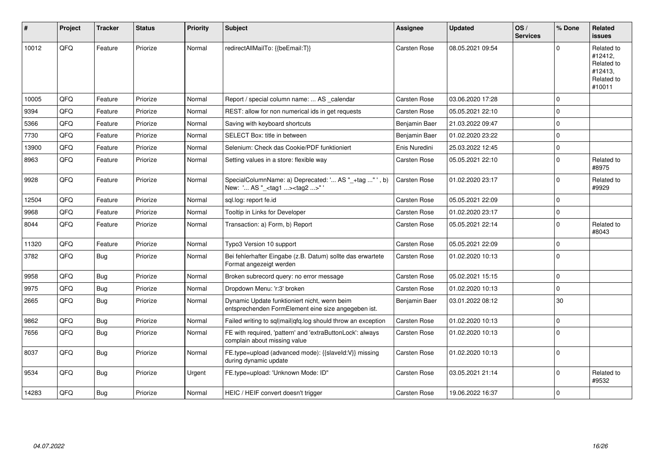| ∦     | Project | <b>Tracker</b> | <b>Status</b> | <b>Priority</b> | Subject                                                                                             | Assignee            | <b>Updated</b>   | OS/<br><b>Services</b> | % Done      | <b>Related</b><br><b>issues</b>                                        |
|-------|---------|----------------|---------------|-----------------|-----------------------------------------------------------------------------------------------------|---------------------|------------------|------------------------|-------------|------------------------------------------------------------------------|
| 10012 | QFQ     | Feature        | Priorize      | Normal          | redirectAllMailTo: {{beEmail:T}}                                                                    | <b>Carsten Rose</b> | 08.05.2021 09:54 |                        | $\Omega$    | Related to<br>#12412,<br>Related to<br>#12413,<br>Related to<br>#10011 |
| 10005 | QFQ     | Feature        | Priorize      | Normal          | Report / special column name:  AS calendar                                                          | <b>Carsten Rose</b> | 03.06.2020 17:28 |                        | $\mathbf 0$ |                                                                        |
| 9394  | QFQ     | Feature        | Priorize      | Normal          | REST: allow for non numerical ids in get requests                                                   | <b>Carsten Rose</b> | 05.05.2021 22:10 |                        | $\mathbf 0$ |                                                                        |
| 5366  | QFQ     | Feature        | Priorize      | Normal          | Saving with keyboard shortcuts                                                                      | Benjamin Baer       | 21.03.2022 09:47 |                        | $\mathbf 0$ |                                                                        |
| 7730  | QFQ     | Feature        | Priorize      | Normal          | SELECT Box: title in between                                                                        | Benjamin Baer       | 01.02.2020 23:22 |                        | $\mathbf 0$ |                                                                        |
| 13900 | QFQ     | Feature        | Priorize      | Normal          | Selenium: Check das Cookie/PDF funktioniert                                                         | Enis Nuredini       | 25.03.2022 12:45 |                        | $\mathbf 0$ |                                                                        |
| 8963  | QFQ     | Feature        | Priorize      | Normal          | Setting values in a store: flexible way                                                             | Carsten Rose        | 05.05.2021 22:10 |                        | $\pmb{0}$   | Related to<br>#8975                                                    |
| 9928  | QFQ     | Feature        | Priorize      | Normal          | SpecialColumnName: a) Deprecated: ' AS "_+tag " ', b)<br>New: ' AS "_ <tag1><tag2>"</tag2></tag1>   | Carsten Rose        | 01.02.2020 23:17 |                        | $\mathbf 0$ | Related to<br>#9929                                                    |
| 12504 | QFQ     | Feature        | Priorize      | Normal          | sql.log: report fe.id                                                                               | Carsten Rose        | 05.05.2021 22:09 |                        | $\mathbf 0$ |                                                                        |
| 9968  | QFQ     | Feature        | Priorize      | Normal          | Tooltip in Links for Developer                                                                      | <b>Carsten Rose</b> | 01.02.2020 23:17 |                        | $\mathbf 0$ |                                                                        |
| 8044  | QFQ     | Feature        | Priorize      | Normal          | Transaction: a) Form, b) Report                                                                     | <b>Carsten Rose</b> | 05.05.2021 22:14 |                        | $\mathbf 0$ | Related to<br>#8043                                                    |
| 11320 | QFQ     | Feature        | Priorize      | Normal          | Typo3 Version 10 support                                                                            | <b>Carsten Rose</b> | 05.05.2021 22:09 |                        | $\Omega$    |                                                                        |
| 3782  | QFQ     | <b>Bug</b>     | Priorize      | Normal          | Bei fehlerhafter Eingabe (z.B. Datum) sollte das erwartete<br>Format angezeigt werden               | Carsten Rose        | 01.02.2020 10:13 |                        | $\mathbf 0$ |                                                                        |
| 9958  | QFQ     | Bug            | Priorize      | Normal          | Broken subrecord query: no error message                                                            | <b>Carsten Rose</b> | 05.02.2021 15:15 |                        | $\mathbf 0$ |                                                                        |
| 9975  | QFQ     | Bug            | Priorize      | Normal          | Dropdown Menu: 'r:3' broken                                                                         | <b>Carsten Rose</b> | 01.02.2020 10:13 |                        | $\mathbf 0$ |                                                                        |
| 2665  | QFQ     | Bug            | Priorize      | Normal          | Dynamic Update funktioniert nicht, wenn beim<br>entsprechenden FormElement eine size angegeben ist. | Benjamin Baer       | 03.01.2022 08:12 |                        | 30          |                                                                        |
| 9862  | QFQ     | <b>Bug</b>     | Priorize      | Normal          | Failed writing to sql mail qfq.log should throw an exception                                        | <b>Carsten Rose</b> | 01.02.2020 10:13 |                        | $\pmb{0}$   |                                                                        |
| 7656  | QFQ     | <b>Bug</b>     | Priorize      | Normal          | FE with required, 'pattern' and 'extraButtonLock': always<br>complain about missing value           | Carsten Rose        | 01.02.2020 10:13 |                        | $\mathbf 0$ |                                                                        |
| 8037  | QFQ     | Bug            | Priorize      | Normal          | FE.type=upload (advanced mode): {{slaveld:V}} missing<br>during dynamic update                      | <b>Carsten Rose</b> | 01.02.2020 10:13 |                        | $\mathbf 0$ |                                                                        |
| 9534  | QFQ     | Bug            | Priorize      | Urgent          | FE.type=upload: 'Unknown Mode: ID"                                                                  | Carsten Rose        | 03.05.2021 21:14 |                        | $\mathbf 0$ | Related to<br>#9532                                                    |
| 14283 | QFQ     | Bug            | Priorize      | Normal          | HEIC / HEIF convert doesn't trigger                                                                 | Carsten Rose        | 19.06.2022 16:37 |                        | $\mathbf 0$ |                                                                        |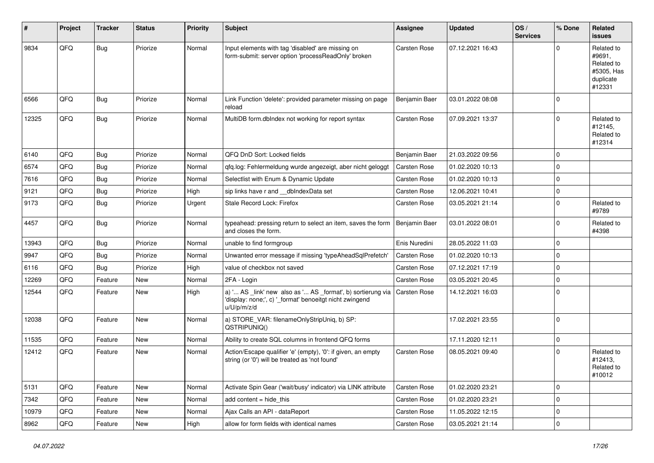| #     | Project | <b>Tracker</b> | <b>Status</b> | <b>Priority</b> | Subject                                                                                                                               | Assignee            | <b>Updated</b>   | OS/<br><b>Services</b> | % Done      | Related<br>issues                                                       |
|-------|---------|----------------|---------------|-----------------|---------------------------------------------------------------------------------------------------------------------------------------|---------------------|------------------|------------------------|-------------|-------------------------------------------------------------------------|
| 9834  | QFQ     | Bug            | Priorize      | Normal          | Input elements with tag 'disabled' are missing on<br>form-submit: server option 'processReadOnly' broken                              | Carsten Rose        | 07.12.2021 16:43 |                        | $\Omega$    | Related to<br>#9691,<br>Related to<br>#5305, Has<br>duplicate<br>#12331 |
| 6566  | QFQ     | Bug            | Priorize      | Normal          | Link Function 'delete': provided parameter missing on page<br>reload                                                                  | Benjamin Baer       | 03.01.2022 08:08 |                        | $\Omega$    |                                                                         |
| 12325 | QFQ     | Bug            | Priorize      | Normal          | MultiDB form.dblndex not working for report syntax                                                                                    | Carsten Rose        | 07.09.2021 13:37 |                        | $\mathbf 0$ | Related to<br>#12145,<br>Related to<br>#12314                           |
| 6140  | QFQ     | <b>Bug</b>     | Priorize      | Normal          | QFQ DnD Sort: Locked fields                                                                                                           | Benjamin Baer       | 21.03.2022 09:56 |                        | $\mathbf 0$ |                                                                         |
| 6574  | QFQ     | Bug            | Priorize      | Normal          | qfq.log: Fehlermeldung wurde angezeigt, aber nicht geloggt                                                                            | Carsten Rose        | 01.02.2020 10:13 |                        | $\Omega$    |                                                                         |
| 7616  | QFQ     | <b>Bug</b>     | Priorize      | Normal          | Selectlist with Enum & Dynamic Update                                                                                                 | <b>Carsten Rose</b> | 01.02.2020 10:13 |                        | $\Omega$    |                                                                         |
| 9121  | QFQ     | Bug            | Priorize      | High            | sip links have r and dblndexData set                                                                                                  | Carsten Rose        | 12.06.2021 10:41 |                        | $\mathbf 0$ |                                                                         |
| 9173  | QFQ     | <b>Bug</b>     | Priorize      | Urgent          | Stale Record Lock: Firefox                                                                                                            | Carsten Rose        | 03.05.2021 21:14 |                        | $\Omega$    | Related to<br>#9789                                                     |
| 4457  | QFQ     | Bug            | Priorize      | Normal          | typeahead: pressing return to select an item, saves the form<br>and closes the form.                                                  | Benjamin Baer       | 03.01.2022 08:01 |                        | $\Omega$    | Related to<br>#4398                                                     |
| 13943 | QFQ     | Bug            | Priorize      | Normal          | unable to find formgroup                                                                                                              | Enis Nuredini       | 28.05.2022 11:03 |                        | $\mathbf 0$ |                                                                         |
| 9947  | QFQ     | Bug            | Priorize      | Normal          | Unwanted error message if missing 'typeAheadSqlPrefetch'                                                                              | Carsten Rose        | 01.02.2020 10:13 |                        | $\Omega$    |                                                                         |
| 6116  | QFQ     | Bug            | Priorize      | High            | value of checkbox not saved                                                                                                           | <b>Carsten Rose</b> | 07.12.2021 17:19 |                        | $\Omega$    |                                                                         |
| 12269 | QFQ     | Feature        | New           | Normal          | 2FA - Login                                                                                                                           | Carsten Rose        | 03.05.2021 20:45 |                        | $\mathbf 0$ |                                                                         |
| 12544 | QFQ     | Feature        | New           | High            | a) ' AS _link' new also as ' AS _format', b) sortierung via<br>'display: none;', c) '_format' benoeitgt nicht zwingend<br>u/U/p/m/z/d | Carsten Rose        | 14.12.2021 16:03 |                        | $\Omega$    |                                                                         |
| 12038 | QFQ     | Feature        | <b>New</b>    | Normal          | a) STORE_VAR: filenameOnlyStripUniq, b) SP:<br>QSTRIPUNIQ()                                                                           |                     | 17.02.2021 23:55 |                        | $\mathbf 0$ |                                                                         |
| 11535 | QFQ     | Feature        | <b>New</b>    | Normal          | Ability to create SQL columns in frontend QFQ forms                                                                                   |                     | 17.11.2020 12:11 |                        | $\mathbf 0$ |                                                                         |
| 12412 | QFQ     | Feature        | New           | Normal          | Action/Escape qualifier 'e' (empty), '0': if given, an empty<br>string (or '0') will be treated as 'not found'                        | <b>Carsten Rose</b> | 08.05.2021 09:40 |                        | $\Omega$    | Related to<br>#12413.<br>Related to<br>#10012                           |
| 5131  | QFQ     | Feature        | New           | Normal          | Activate Spin Gear ('wait/busy' indicator) via LINK attribute                                                                         | Carsten Rose        | 01.02.2020 23:21 |                        | 0           |                                                                         |
| 7342  | QFQ     | Feature        | New           | Normal          | add content $=$ hide this                                                                                                             | Carsten Rose        | 01.02.2020 23:21 |                        | 0           |                                                                         |
| 10979 | QFQ     | Feature        | New           | Normal          | Ajax Calls an API - dataReport                                                                                                        | Carsten Rose        | 11.05.2022 12:15 |                        | $\mathbf 0$ |                                                                         |
| 8962  | QFQ     | Feature        | New           | High            | allow for form fields with identical names                                                                                            | Carsten Rose        | 03.05.2021 21:14 |                        | $\pmb{0}$   |                                                                         |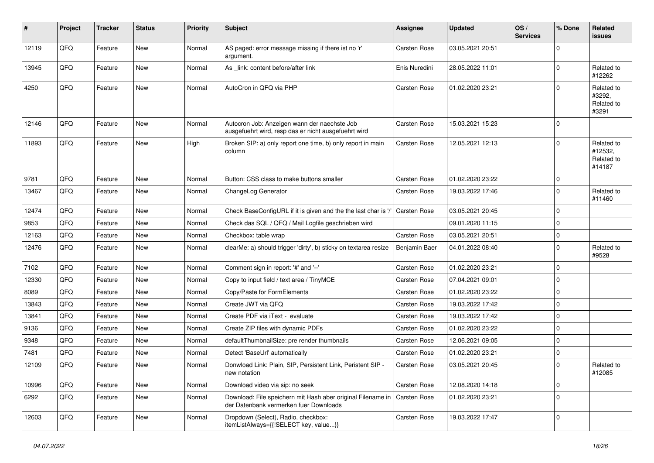| #     | Project | <b>Tracker</b> | <b>Status</b> | <b>Priority</b> | <b>Subject</b>                                                                                        | Assignee            | <b>Updated</b>   | OS/<br><b>Services</b> | % Done      | Related<br>issues                             |
|-------|---------|----------------|---------------|-----------------|-------------------------------------------------------------------------------------------------------|---------------------|------------------|------------------------|-------------|-----------------------------------------------|
| 12119 | QFQ     | Feature        | <b>New</b>    | Normal          | AS paged: error message missing if there ist no 'r'<br>argument.                                      | Carsten Rose        | 03.05.2021 20:51 |                        | $\Omega$    |                                               |
| 13945 | QFQ     | Feature        | New           | Normal          | As _link: content before/after link                                                                   | Enis Nuredini       | 28.05.2022 11:01 |                        | $\mathbf 0$ | Related to<br>#12262                          |
| 4250  | QFQ     | Feature        | <b>New</b>    | Normal          | AutoCron in QFQ via PHP                                                                               | Carsten Rose        | 01.02.2020 23:21 |                        | $\Omega$    | Related to<br>#3292,<br>Related to<br>#3291   |
| 12146 | QFQ     | Feature        | New           | Normal          | Autocron Job: Anzeigen wann der naechste Job<br>ausgefuehrt wird, resp das er nicht ausgefuehrt wird  | Carsten Rose        | 15.03.2021 15:23 |                        | $\mathbf 0$ |                                               |
| 11893 | QFQ     | Feature        | <b>New</b>    | High            | Broken SIP: a) only report one time, b) only report in main<br>column                                 | Carsten Rose        | 12.05.2021 12:13 |                        | $\Omega$    | Related to<br>#12532,<br>Related to<br>#14187 |
| 9781  | QFQ     | Feature        | <b>New</b>    | Normal          | Button: CSS class to make buttons smaller                                                             | <b>Carsten Rose</b> | 01.02.2020 23:22 |                        | $\mathbf 0$ |                                               |
| 13467 | QFQ     | Feature        | New           | Normal          | ChangeLog Generator                                                                                   | Carsten Rose        | 19.03.2022 17:46 |                        | $\mathbf 0$ | Related to<br>#11460                          |
| 12474 | QFQ     | Feature        | <b>New</b>    | Normal          | Check BaseConfigURL if it is given and the the last char is '/                                        | Carsten Rose        | 03.05.2021 20:45 |                        | $\mathbf 0$ |                                               |
| 9853  | QFQ     | Feature        | <b>New</b>    | Normal          | Check das SQL / QFQ / Mail Logfile geschrieben wird                                                   |                     | 09.01.2020 11:15 |                        | $\Omega$    |                                               |
| 12163 | QFQ     | Feature        | New           | Normal          | Checkbox: table wrap                                                                                  | Carsten Rose        | 03.05.2021 20:51 |                        | $\mathbf 0$ |                                               |
| 12476 | QFQ     | Feature        | New           | Normal          | clearMe: a) should trigger 'dirty', b) sticky on textarea resize                                      | Benjamin Baer       | 04.01.2022 08:40 |                        | $\mathbf 0$ | Related to<br>#9528                           |
| 7102  | QFQ     | Feature        | <b>New</b>    | Normal          | Comment sign in report: '#' and '--'                                                                  | Carsten Rose        | 01.02.2020 23:21 |                        | $\mathbf 0$ |                                               |
| 12330 | QFQ     | Feature        | New           | Normal          | Copy to input field / text area / TinyMCE                                                             | Carsten Rose        | 07.04.2021 09:01 |                        | $\mathbf 0$ |                                               |
| 8089  | QFQ     | Feature        | New           | Normal          | Copy/Paste for FormElements                                                                           | Carsten Rose        | 01.02.2020 23:22 |                        | $\mathbf 0$ |                                               |
| 13843 | QFQ     | Feature        | <b>New</b>    | Normal          | Create JWT via QFQ                                                                                    | Carsten Rose        | 19.03.2022 17:42 |                        | $\Omega$    |                                               |
| 13841 | QFQ     | Feature        | New           | Normal          | Create PDF via iText - evaluate                                                                       | Carsten Rose        | 19.03.2022 17:42 |                        | $\mathbf 0$ |                                               |
| 9136  | QFQ     | Feature        | <b>New</b>    | Normal          | Create ZIP files with dynamic PDFs                                                                    | Carsten Rose        | 01.02.2020 23:22 |                        | $\mathbf 0$ |                                               |
| 9348  | QFQ     | Feature        | New           | Normal          | defaultThumbnailSize: pre render thumbnails                                                           | Carsten Rose        | 12.06.2021 09:05 |                        | 0           |                                               |
| 7481  | QFQ     | Feature        | New           | Normal          | Detect 'BaseUrl' automatically                                                                        | Carsten Rose        | 01.02.2020 23:21 |                        | $\mathbf 0$ |                                               |
| 12109 | QFQ     | Feature        | New           | Normal          | Donwload Link: Plain, SIP, Persistent Link, Peristent SIP -<br>new notation                           | Carsten Rose        | 03.05.2021 20:45 |                        | $\Omega$    | Related to<br>#12085                          |
| 10996 | QFQ     | Feature        | New           | Normal          | Download video via sip: no seek                                                                       | Carsten Rose        | 12.08.2020 14:18 |                        | $\mathbf 0$ |                                               |
| 6292  | QFQ     | Feature        | New           | Normal          | Download: File speichern mit Hash aber original Filename in<br>der Datenbank vermerken fuer Downloads | <b>Carsten Rose</b> | 01.02.2020 23:21 |                        | $\mathbf 0$ |                                               |
| 12603 | QFQ     | Feature        | New           | Normal          | Dropdown (Select), Radio, checkbox:<br>itemListAlways={{!SELECT key, value}}                          | Carsten Rose        | 19.03.2022 17:47 |                        | $\mathbf 0$ |                                               |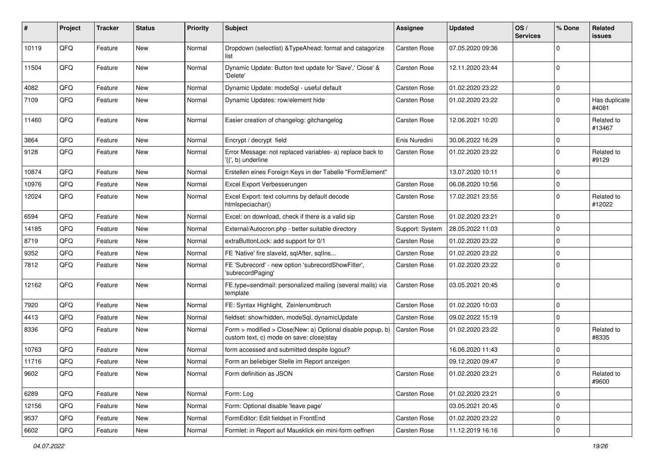| #     | <b>Project</b> | <b>Tracker</b> | <b>Status</b> | <b>Priority</b> | Subject                                                                                                | <b>Assignee</b> | <b>Updated</b>   | OS/<br><b>Services</b> | % Done      | Related<br>issues      |
|-------|----------------|----------------|---------------|-----------------|--------------------------------------------------------------------------------------------------------|-----------------|------------------|------------------------|-------------|------------------------|
| 10119 | QFQ            | Feature        | <b>New</b>    | Normal          | Dropdown (selectlist) & TypeAhead: format and catagorize<br>list                                       | Carsten Rose    | 07.05.2020 09:36 |                        | $\Omega$    |                        |
| 11504 | QFQ            | Feature        | New           | Normal          | Dynamic Update: Button text update for 'Save',' Close' &<br>'Delete'                                   | Carsten Rose    | 12.11.2020 23:44 |                        | $\Omega$    |                        |
| 4082  | QFQ            | Feature        | New           | Normal          | Dynamic Update: modeSql - useful default                                                               | Carsten Rose    | 01.02.2020 23:22 |                        | $\Omega$    |                        |
| 7109  | QFQ            | Feature        | New           | Normal          | Dynamic Updates: row/element hide                                                                      | Carsten Rose    | 01.02.2020 23:22 |                        | $\Omega$    | Has duplicate<br>#4081 |
| 11460 | QFQ            | Feature        | New           | Normal          | Easier creation of changelog: gitchangelog                                                             | Carsten Rose    | 12.06.2021 10:20 |                        | $\Omega$    | Related to<br>#13467   |
| 3864  | QFQ            | Feature        | New           | Normal          | Encrypt / decrypt field                                                                                | Enis Nuredini   | 30.06.2022 16:29 |                        | 0           |                        |
| 9128  | QFQ            | Feature        | New           | Normal          | Error Message: not replaced variables- a) replace back to<br>'{{', b) underline                        | Carsten Rose    | 01.02.2020 23:22 |                        | $\Omega$    | Related to<br>#9129    |
| 10874 | QFQ            | Feature        | <b>New</b>    | Normal          | Erstellen eines Foreign Keys in der Tabelle "FormElement"                                              |                 | 13.07.2020 10:11 |                        | $\Omega$    |                        |
| 10976 | QFQ            | Feature        | New           | Normal          | Excel Export Verbesserungen                                                                            | Carsten Rose    | 06.08.2020 10:56 |                        | $\mathbf 0$ |                        |
| 12024 | QFQ            | Feature        | New           | Normal          | Excel Export: text columns by default decode<br>htmlspeciachar()                                       | Carsten Rose    | 17.02.2021 23:55 |                        | $\Omega$    | Related to<br>#12022   |
| 6594  | QFQ            | Feature        | <b>New</b>    | Normal          | Excel: on download, check if there is a valid sip                                                      | Carsten Rose    | 01.02.2020 23:21 |                        | $\Omega$    |                        |
| 14185 | QFQ            | Feature        | New           | Normal          | External/Autocron.php - better suitable directory                                                      | Support: System | 28.05.2022 11:03 |                        | $\mathbf 0$ |                        |
| 8719  | QFQ            | Feature        | New           | Normal          | extraButtonLock: add support for 0/1                                                                   | Carsten Rose    | 01.02.2020 23:22 |                        | $\Omega$    |                        |
| 9352  | QFQ            | Feature        | New           | Normal          | FE 'Native' fire slaveld, sqlAfter, sqlIns                                                             | Carsten Rose    | 01.02.2020 23:22 |                        | $\Omega$    |                        |
| 7812  | QFQ            | Feature        | New           | Normal          | FE 'Subrecord' - new option 'subrecordShowFilter',<br>'subrecordPaging'                                | Carsten Rose    | 01.02.2020 23:22 |                        | $\Omega$    |                        |
| 12162 | QFQ            | Feature        | New           | Normal          | FE.type=sendmail: personalized mailing (several mails) via<br>template                                 | Carsten Rose    | 03.05.2021 20:45 |                        | $\Omega$    |                        |
| 7920  | QFQ            | Feature        | <b>New</b>    | Normal          | FE: Syntax Highlight, Zeinlenumbruch                                                                   | Carsten Rose    | 01.02.2020 10:03 |                        | $\Omega$    |                        |
| 4413  | QFQ            | Feature        | New           | Normal          | fieldset: show/hidden, modeSql, dynamicUpdate                                                          | Carsten Rose    | 09.02.2022 15:19 |                        | 0           |                        |
| 8336  | QFQ            | Feature        | New           | Normal          | Form > modified > Close New: a) Optional disable popup, b)<br>custom text, c) mode on save: close stay | Carsten Rose    | 01.02.2020 23:22 |                        | $\Omega$    | Related to<br>#8335    |
| 10763 | QFQ            | Feature        | New           | Normal          | form accessed and submitted despite logout?                                                            |                 | 16.06.2020 11:43 |                        | $\Omega$    |                        |
| 11716 | QFQ            | Feature        | New           | Normal          | Form an beliebiger Stelle im Report anzeigen                                                           |                 | 09.12.2020 09:47 |                        | $\mathbf 0$ |                        |
| 9602  | QFQ            | Feature        | New           | Normal          | Form definition as JSON                                                                                | Carsten Rose    | 01.02.2020 23:21 |                        | 0           | Related to<br>#9600    |
| 6289  | QFQ            | Feature        | New           | Normal          | Form: Log                                                                                              | Carsten Rose    | 01.02.2020 23:21 |                        | $\mathbf 0$ |                        |
| 12156 | QFQ            | Feature        | New           | Normal          | Form: Optional disable 'leave page'                                                                    |                 | 03.05.2021 20:45 |                        | 0           |                        |
| 9537  | QFQ            | Feature        | New           | Normal          | FormEditor: Edit fieldset in FrontEnd                                                                  | Carsten Rose    | 01.02.2020 23:22 |                        | $\mathbf 0$ |                        |
| 6602  | QFQ            | Feature        | New           | Normal          | Formlet: in Report auf Mausklick ein mini-form oeffnen                                                 | Carsten Rose    | 11.12.2019 16:16 |                        | 0           |                        |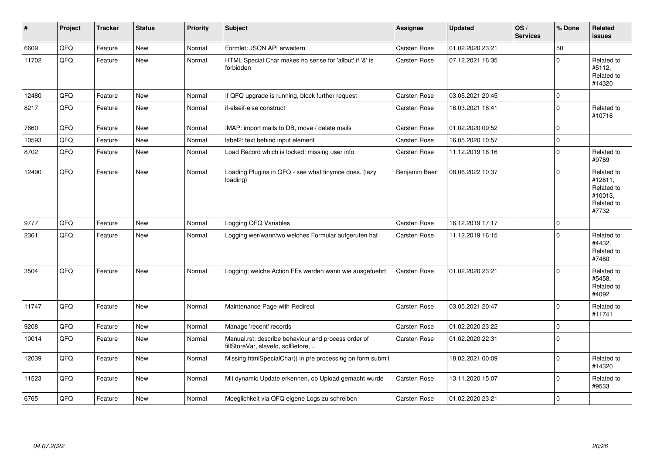| $\vert$ # | Project | <b>Tracker</b> | <b>Status</b> | <b>Priority</b> | Subject                                                                                  | <b>Assignee</b> | <b>Updated</b>   | OS/<br><b>Services</b> | % Done   | Related<br>issues                                                     |
|-----------|---------|----------------|---------------|-----------------|------------------------------------------------------------------------------------------|-----------------|------------------|------------------------|----------|-----------------------------------------------------------------------|
| 6609      | QFQ     | Feature        | <b>New</b>    | Normal          | Formlet: JSON API erweitern                                                              | Carsten Rose    | 01.02.2020 23:21 |                        | 50       |                                                                       |
| 11702     | QFQ     | Feature        | <b>New</b>    | Normal          | HTML Special Char makes no sense for 'allbut' if '&' is<br>forbidden                     | Carsten Rose    | 07.12.2021 16:35 |                        | $\Omega$ | Related to<br>#5112,<br>Related to<br>#14320                          |
| 12480     | QFQ     | Feature        | <b>New</b>    | Normal          | If QFQ upgrade is running, block further request                                         | Carsten Rose    | 03.05.2021 20:45 |                        | $\Omega$ |                                                                       |
| 8217      | QFQ     | Feature        | <b>New</b>    | Normal          | if-elseif-else construct                                                                 | Carsten Rose    | 16.03.2021 18:41 |                        | $\Omega$ | Related to<br>#10716                                                  |
| 7660      | QFQ     | Feature        | New           | Normal          | IMAP: import mails to DB, move / delete mails                                            | Carsten Rose    | 01.02.2020 09:52 |                        | $\Omega$ |                                                                       |
| 10593     | QFQ     | Feature        | <b>New</b>    | Normal          | label2: text behind input element                                                        | Carsten Rose    | 16.05.2020 10:57 |                        | $\Omega$ |                                                                       |
| 8702      | QFQ     | Feature        | New           | Normal          | Load Record which is locked: missing user info                                           | Carsten Rose    | 11.12.2019 16:16 |                        | $\Omega$ | Related to<br>#9789                                                   |
| 12490     | QFQ     | Feature        | New           | Normal          | Loading Plugins in QFQ - see what tinymce does. (lazy<br>loading)                        | Benjamin Baer   | 08.06.2022 10:37 |                        | $\Omega$ | Related to<br>#12611,<br>Related to<br>#10013,<br>Related to<br>#7732 |
| 9777      | QFQ     | Feature        | <b>New</b>    | Normal          | Logging QFQ Variables                                                                    | Carsten Rose    | 16.12.2019 17:17 |                        | $\Omega$ |                                                                       |
| 2361      | QFQ     | Feature        | New           | Normal          | Logging wer/wann/wo welches Formular aufgerufen hat                                      | Carsten Rose    | 11.12.2019 16:15 |                        | $\Omega$ | Related to<br>#4432,<br>Related to<br>#7480                           |
| 3504      | QFQ     | Feature        | <b>New</b>    | Normal          | Logging: welche Action FEs werden wann wie ausgefuehrt                                   | Carsten Rose    | 01.02.2020 23:21 |                        | $\Omega$ | Related to<br>#5458,<br>Related to<br>#4092                           |
| 11747     | QFQ     | Feature        | <b>New</b>    | Normal          | Maintenance Page with Redirect                                                           | Carsten Rose    | 03.05.2021 20:47 |                        | $\Omega$ | Related to<br>#11741                                                  |
| 9208      | QFQ     | Feature        | <b>New</b>    | Normal          | Manage 'recent' records                                                                  | Carsten Rose    | 01.02.2020 23:22 |                        | $\Omega$ |                                                                       |
| 10014     | QFQ     | Feature        | New           | Normal          | Manual.rst: describe behaviour and process order of<br>fillStoreVar, slaveId, sqlBefore, | Carsten Rose    | 01.02.2020 22:31 |                        | $\Omega$ |                                                                       |
| 12039     | QFQ     | Feature        | <b>New</b>    | Normal          | Missing htmlSpecialChar() in pre processing on form submit                               |                 | 18.02.2021 00:09 |                        | $\Omega$ | Related to<br>#14320                                                  |
| 11523     | QFQ     | Feature        | New           | Normal          | Mit dynamic Update erkennen, ob Upload gemacht wurde                                     | Carsten Rose    | 13.11.2020 15:07 |                        | $\Omega$ | Related to<br>#9533                                                   |
| 6765      | QFQ     | Feature        | <b>New</b>    | Normal          | Moeglichkeit via QFQ eigene Logs zu schreiben                                            | Carsten Rose    | 01.02.2020 23:21 |                        | $\Omega$ |                                                                       |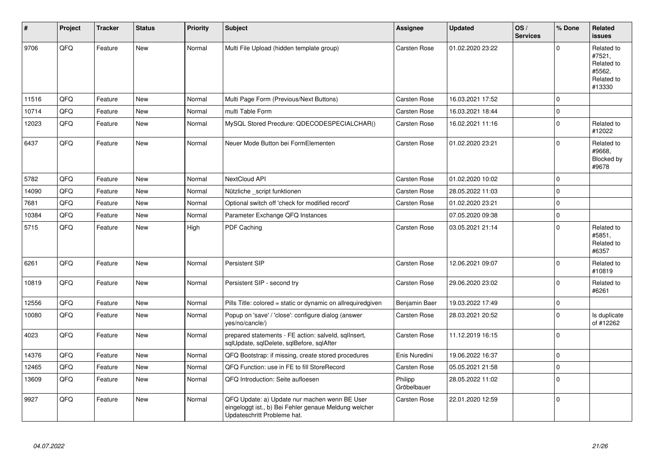| #     | Project | <b>Tracker</b> | <b>Status</b> | <b>Priority</b> | <b>Subject</b>                                                                                                                        | Assignee               | <b>Updated</b>   | OS/<br><b>Services</b> | % Done      | Related<br><b>issues</b>                                             |
|-------|---------|----------------|---------------|-----------------|---------------------------------------------------------------------------------------------------------------------------------------|------------------------|------------------|------------------------|-------------|----------------------------------------------------------------------|
| 9706  | QFQ     | Feature        | <b>New</b>    | Normal          | Multi File Upload (hidden template group)                                                                                             | Carsten Rose           | 01.02.2020 23:22 |                        | $\Omega$    | Related to<br>#7521,<br>Related to<br>#5562.<br>Related to<br>#13330 |
| 11516 | QFQ     | Feature        | <b>New</b>    | Normal          | Multi Page Form (Previous/Next Buttons)                                                                                               | Carsten Rose           | 16.03.2021 17:52 |                        | 0           |                                                                      |
| 10714 | QFQ     | Feature        | New           | Normal          | multi Table Form                                                                                                                      | Carsten Rose           | 16.03.2021 18:44 |                        | $\pmb{0}$   |                                                                      |
| 12023 | QFQ     | Feature        | New           | Normal          | MySQL Stored Precdure: QDECODESPECIALCHAR()                                                                                           | Carsten Rose           | 16.02.2021 11:16 |                        | 0           | Related to<br>#12022                                                 |
| 6437  | QFQ     | Feature        | New           | Normal          | Neuer Mode Button bei FormElementen                                                                                                   | Carsten Rose           | 01.02.2020 23:21 |                        | $\mathbf 0$ | Related to<br>#9668.<br>Blocked by<br>#9678                          |
| 5782  | QFQ     | Feature        | <b>New</b>    | Normal          | NextCloud API                                                                                                                         | Carsten Rose           | 01.02.2020 10:02 |                        | $\mathbf 0$ |                                                                      |
| 14090 | QFQ     | Feature        | <b>New</b>    | Normal          | Nützliche script funktionen                                                                                                           | Carsten Rose           | 28.05.2022 11:03 |                        | $\pmb{0}$   |                                                                      |
| 7681  | QFQ     | Feature        | New           | Normal          | Optional switch off 'check for modified record'                                                                                       | Carsten Rose           | 01.02.2020 23:21 |                        | $\pmb{0}$   |                                                                      |
| 10384 | QFQ     | Feature        | New           | Normal          | Parameter Exchange QFQ Instances                                                                                                      |                        | 07.05.2020 09:38 |                        | $\pmb{0}$   |                                                                      |
| 5715  | QFQ     | Feature        | New           | High            | <b>PDF Caching</b>                                                                                                                    | Carsten Rose           | 03.05.2021 21:14 |                        | 0           | Related to<br>#5851,<br>Related to<br>#6357                          |
| 6261  | QFQ     | Feature        | <b>New</b>    | Normal          | Persistent SIP                                                                                                                        | Carsten Rose           | 12.06.2021 09:07 |                        | $\pmb{0}$   | Related to<br>#10819                                                 |
| 10819 | QFQ     | Feature        | <b>New</b>    | Normal          | Persistent SIP - second try                                                                                                           | Carsten Rose           | 29.06.2020 23:02 |                        | $\mathbf 0$ | Related to<br>#6261                                                  |
| 12556 | QFQ     | Feature        | <b>New</b>    | Normal          | Pills Title: colored = static or dynamic on allrequiredgiven                                                                          | Benjamin Baer          | 19.03.2022 17:49 |                        | 0           |                                                                      |
| 10080 | QFQ     | Feature        | <b>New</b>    | Normal          | Popup on 'save' / 'close': configure dialog (answer<br>yes/no/cancle/)                                                                | Carsten Rose           | 28.03.2021 20:52 |                        | $\mathbf 0$ | Is duplicate<br>of #12262                                            |
| 4023  | QFQ     | Feature        | <b>New</b>    | Normal          | prepared statements - FE action: salveld, sqllnsert,<br>sqlUpdate, sqlDelete, sqlBefore, sqlAfter                                     | Carsten Rose           | 11.12.2019 16:15 |                        | $\pmb{0}$   |                                                                      |
| 14376 | QFQ     | Feature        | <b>New</b>    | Normal          | QFQ Bootstrap: if missing, create stored procedures                                                                                   | Enis Nuredini          | 19.06.2022 16:37 |                        | $\pmb{0}$   |                                                                      |
| 12465 | QFQ     | Feature        | <b>New</b>    | Normal          | QFQ Function: use in FE to fill StoreRecord                                                                                           | Carsten Rose           | 05.05.2021 21:58 |                        | 0           |                                                                      |
| 13609 | QFQ     | Feature        | New           | Normal          | QFQ Introduction: Seite aufloesen                                                                                                     | Philipp<br>Gröbelbauer | 28.05.2022 11:02 |                        | $\Omega$    |                                                                      |
| 9927  | QFQ     | Feature        | <b>New</b>    | Normal          | QFQ Update: a) Update nur machen wenn BE User<br>eingeloggt ist., b) Bei Fehler genaue Meldung welcher<br>Updateschritt Probleme hat. | Carsten Rose           | 22.01.2020 12:59 |                        | $\mathbf 0$ |                                                                      |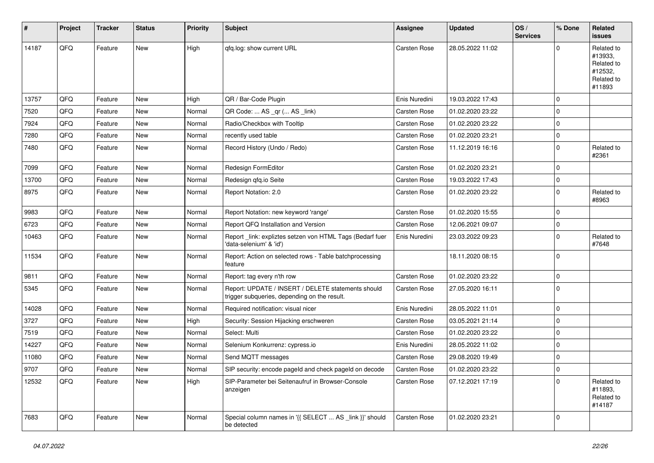| #     | Project | <b>Tracker</b> | <b>Status</b> | <b>Priority</b> | Subject                                                                                            | Assignee      | <b>Updated</b>   | OS/<br><b>Services</b> | % Done      | <b>Related</b><br>issues                                               |
|-------|---------|----------------|---------------|-----------------|----------------------------------------------------------------------------------------------------|---------------|------------------|------------------------|-------------|------------------------------------------------------------------------|
| 14187 | QFQ     | Feature        | New           | High            | qfq.log: show current URL                                                                          | Carsten Rose  | 28.05.2022 11:02 |                        | $\Omega$    | Related to<br>#13933,<br>Related to<br>#12532,<br>Related to<br>#11893 |
| 13757 | QFQ     | Feature        | New           | High            | QR / Bar-Code Plugin                                                                               | Enis Nuredini | 19.03.2022 17:43 |                        | $\Omega$    |                                                                        |
| 7520  | QFQ     | Feature        | New           | Normal          | QR Code:  AS _qr ( AS _link)                                                                       | Carsten Rose  | 01.02.2020 23:22 |                        | $\Omega$    |                                                                        |
| 7924  | QFQ     | Feature        | New           | Normal          | Radio/Checkbox with Tooltip                                                                        | Carsten Rose  | 01.02.2020 23:22 |                        | $\Omega$    |                                                                        |
| 7280  | QFQ     | Feature        | New           | Normal          | recently used table                                                                                | Carsten Rose  | 01.02.2020 23:21 |                        | $\mathbf 0$ |                                                                        |
| 7480  | QFQ     | Feature        | New           | Normal          | Record History (Undo / Redo)                                                                       | Carsten Rose  | 11.12.2019 16:16 |                        | $\Omega$    | Related to<br>#2361                                                    |
| 7099  | QFQ     | Feature        | New           | Normal          | Redesign FormEditor                                                                                | Carsten Rose  | 01.02.2020 23:21 |                        | $\mathbf 0$ |                                                                        |
| 13700 | QFQ     | Feature        | New           | Normal          | Redesign qfq.io Seite                                                                              | Carsten Rose  | 19.03.2022 17:43 |                        | $\Omega$    |                                                                        |
| 8975  | QFQ     | Feature        | <b>New</b>    | Normal          | Report Notation: 2.0                                                                               | Carsten Rose  | 01.02.2020 23:22 |                        | $\Omega$    | Related to<br>#8963                                                    |
| 9983  | QFQ     | Feature        | New           | Normal          | Report Notation: new keyword 'range'                                                               | Carsten Rose  | 01.02.2020 15:55 |                        | $\mathbf 0$ |                                                                        |
| 6723  | QFQ     | Feature        | New           | Normal          | Report QFQ Installation and Version                                                                | Carsten Rose  | 12.06.2021 09:07 |                        | $\Omega$    |                                                                        |
| 10463 | QFQ     | Feature        | New           | Normal          | Report_link: expliztes setzen von HTML Tags (Bedarf fuer<br>'data-selenium' & 'id')                | Enis Nuredini | 23.03.2022 09:23 |                        | $\Omega$    | Related to<br>#7648                                                    |
| 11534 | QFQ     | Feature        | <b>New</b>    | Normal          | Report: Action on selected rows - Table batchprocessing<br>feature                                 |               | 18.11.2020 08:15 |                        | $\Omega$    |                                                                        |
| 9811  | QFQ     | Feature        | <b>New</b>    | Normal          | Report: tag every n'th row                                                                         | Carsten Rose  | 01.02.2020 23:22 |                        | $\Omega$    |                                                                        |
| 5345  | QFQ     | Feature        | New           | Normal          | Report: UPDATE / INSERT / DELETE statements should<br>trigger subqueries, depending on the result. | Carsten Rose  | 27.05.2020 16:11 |                        | $\Omega$    |                                                                        |
| 14028 | QFQ     | Feature        | <b>New</b>    | Normal          | Required notification: visual nicer                                                                | Enis Nuredini | 28.05.2022 11:01 |                        | $\Omega$    |                                                                        |
| 3727  | QFQ     | Feature        | New           | High            | Security: Session Hijacking erschweren                                                             | Carsten Rose  | 03.05.2021 21:14 |                        | $\Omega$    |                                                                        |
| 7519  | QFQ     | Feature        | <b>New</b>    | Normal          | Select: Multi                                                                                      | Carsten Rose  | 01.02.2020 23:22 |                        | $\Omega$    |                                                                        |
| 14227 | QFQ     | Feature        | New           | Normal          | Selenium Konkurrenz: cypress.io                                                                    | Enis Nuredini | 28.05.2022 11:02 |                        | $\Omega$    |                                                                        |
| 11080 | QFQ     | Feature        | New           | Normal          | Send MQTT messages                                                                                 | Carsten Rose  | 29.08.2020 19:49 |                        | $\Omega$    |                                                                        |
| 9707  | QFQ     | Feature        | New           | Normal          | SIP security: encode pageId and check pageId on decode                                             | Carsten Rose  | 01.02.2020 23:22 |                        | 0           |                                                                        |
| 12532 | QFQ     | Feature        | New           | High            | SIP-Parameter bei Seitenaufruf in Browser-Console<br>anzeigen                                      | Carsten Rose  | 07.12.2021 17:19 |                        | $\mathbf 0$ | Related to<br>#11893,<br>Related to<br>#14187                          |
| 7683  | QFQ     | Feature        | New           | Normal          | Special column names in '{{ SELECT  AS _link }}' should<br>be detected                             | Carsten Rose  | 01.02.2020 23:21 |                        | $\mathbf 0$ |                                                                        |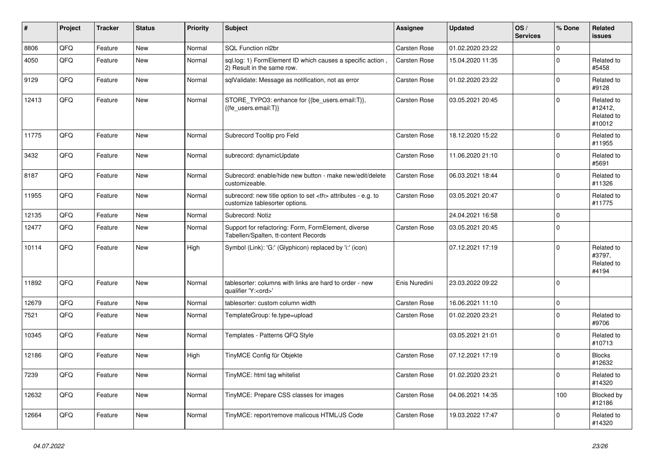| #     | Project | <b>Tracker</b> | <b>Status</b> | <b>Priority</b> | <b>Subject</b>                                                                                       | Assignee                                               | <b>Updated</b>   | OS/<br><b>Services</b> | % Done      | <b>Related</b><br><b>issues</b>               |                      |
|-------|---------|----------------|---------------|-----------------|------------------------------------------------------------------------------------------------------|--------------------------------------------------------|------------------|------------------------|-------------|-----------------------------------------------|----------------------|
| 8806  | QFQ     | Feature        | <b>New</b>    | Normal          | SQL Function nl2br                                                                                   | Carsten Rose                                           | 01.02.2020 23:22 |                        | $\mathbf 0$ |                                               |                      |
| 4050  | QFQ     | Feature        | <b>New</b>    | Normal          | sql.log: 1) FormElement ID which causes a specific action,<br>2) Result in the same row.             | Carsten Rose                                           | 15.04.2020 11:35 |                        | $\mathbf 0$ | Related to<br>#5458                           |                      |
| 9129  | QFQ     | Feature        | <b>New</b>    | Normal          | sqlValidate: Message as notification, not as error                                                   | Carsten Rose                                           | 01.02.2020 23:22 |                        | $\Omega$    | Related to<br>#9128                           |                      |
| 12413 | QFQ     | Feature        | New           | Normal          | STORE_TYPO3: enhance for {{be_users.email:T}},<br>{{fe_users.email:T}}                               | Carsten Rose                                           | 03.05.2021 20:45 |                        | $\mathbf 0$ | Related to<br>#12412.<br>Related to<br>#10012 |                      |
| 11775 | QFQ     | Feature        | <b>New</b>    | Normal          | Subrecord Tooltip pro Feld                                                                           | Carsten Rose                                           | 18.12.2020 15:22 |                        | $\Omega$    | Related to<br>#11955                          |                      |
| 3432  | QFQ     | Feature        | New           | Normal          | subrecord: dynamicUpdate                                                                             | Carsten Rose                                           | 11.06.2020 21:10 |                        | $\mathbf 0$ | Related to<br>#5691                           |                      |
| 8187  | QFQ     | Feature        | New           | Normal          | Subrecord: enable/hide new button - make new/edit/delete<br>customizeable.                           | Carsten Rose                                           | 06.03.2021 18:44 |                        | $\Omega$    | Related to<br>#11326                          |                      |
| 11955 | QFQ     | Feature        | New           | Normal          | subrecord: new title option to set <th> attributes - e.g. to<br/>customize tablesorter options.</th> | attributes - e.g. to<br>customize tablesorter options. | Carsten Rose     | 03.05.2021 20:47       |             | $\mathbf 0$                                   | Related to<br>#11775 |
| 12135 | QFQ     | Feature        | New           | Normal          | Subrecord: Notiz                                                                                     |                                                        | 24.04.2021 16:58 |                        | $\mathbf 0$ |                                               |                      |
| 12477 | QFQ     | Feature        | New           | Normal          | Support for refactoring: Form, FormElement, diverse<br>Tabellen/Spalten, tt-content Records          | Carsten Rose                                           | 03.05.2021 20:45 |                        | $\mathbf 0$ |                                               |                      |
| 10114 | QFQ     | Feature        | <b>New</b>    | High            | Symbol (Link): 'G:' (Glyphicon) replaced by 'i:' (icon)                                              |                                                        | 07.12.2021 17:19 |                        | $\Omega$    | Related to<br>#3797,<br>Related to<br>#4194   |                      |
| 11892 | QFQ     | Feature        | New           | Normal          | tablesorter: columns with links are hard to order - new<br>qualifier 'Y: <ord>'</ord>                | Enis Nuredini                                          | 23.03.2022 09:22 |                        | $\Omega$    |                                               |                      |
| 12679 | QFQ     | Feature        | <b>New</b>    | Normal          | tablesorter: custom column width                                                                     | Carsten Rose                                           | 16.06.2021 11:10 |                        | $\mathbf 0$ |                                               |                      |
| 7521  | QFQ     | Feature        | <b>New</b>    | Normal          | TemplateGroup: fe.type=upload                                                                        | Carsten Rose                                           | 01.02.2020 23:21 |                        | $\Omega$    | Related to<br>#9706                           |                      |
| 10345 | QFQ     | Feature        | New           | Normal          | Templates - Patterns QFQ Style                                                                       |                                                        | 03.05.2021 21:01 |                        | $\mathbf 0$ | Related to<br>#10713                          |                      |
| 12186 | QFQ     | Feature        | <b>New</b>    | High            | TinyMCE Config für Objekte                                                                           | Carsten Rose                                           | 07.12.2021 17:19 |                        | $\Omega$    | <b>Blocks</b><br>#12632                       |                      |
| 7239  | QFQ     | Feature        | <b>New</b>    | Normal          | TinyMCE: html tag whitelist                                                                          | Carsten Rose                                           | 01.02.2020 23:21 |                        | $\Omega$    | Related to<br>#14320                          |                      |
| 12632 | QFQ     | Feature        | New           | Normal          | TinyMCE: Prepare CSS classes for images                                                              | Carsten Rose                                           | 04.06.2021 14:35 |                        | 100         | Blocked by<br>#12186                          |                      |
| 12664 | QFQ     | Feature        | <b>New</b>    | Normal          | TinyMCE: report/remove malicous HTML/JS Code                                                         | Carsten Rose                                           | 19.03.2022 17:47 |                        | $\Omega$    | Related to<br>#14320                          |                      |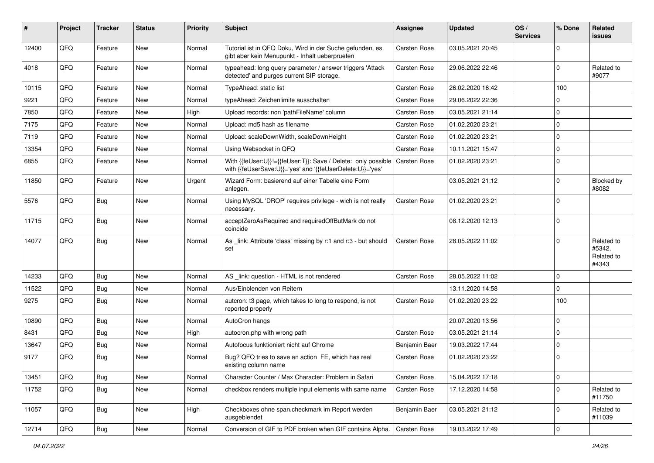| ∦     | Project | <b>Tracker</b> | <b>Status</b> | <b>Priority</b> | <b>Subject</b>                                                                                                                            | <b>Assignee</b>     | <b>Updated</b>   | OS/<br><b>Services</b> | % Done         | Related<br><b>issues</b>                    |
|-------|---------|----------------|---------------|-----------------|-------------------------------------------------------------------------------------------------------------------------------------------|---------------------|------------------|------------------------|----------------|---------------------------------------------|
| 12400 | QFQ     | Feature        | <b>New</b>    | Normal          | Tutorial ist in QFQ Doku, Wird in der Suche gefunden, es<br>gibt aber kein Menupunkt - Inhalt ueberpruefen                                | Carsten Rose        | 03.05.2021 20:45 |                        | $\mathbf 0$    |                                             |
| 4018  | QFQ     | Feature        | New           | Normal          | typeahead: long query parameter / answer triggers 'Attack<br>detected' and purges current SIP storage.                                    | <b>Carsten Rose</b> | 29.06.2022 22:46 |                        | $\overline{0}$ | Related to<br>#9077                         |
| 10115 | QFQ     | Feature        | <b>New</b>    | Normal          | TypeAhead: static list                                                                                                                    | Carsten Rose        | 26.02.2020 16:42 |                        | 100            |                                             |
| 9221  | QFQ     | Feature        | New           | Normal          | typeAhead: Zeichenlimite ausschalten                                                                                                      | Carsten Rose        | 29.06.2022 22:36 |                        | $\overline{0}$ |                                             |
| 7850  | QFQ     | Feature        | New           | High            | Upload records: non 'pathFileName' column                                                                                                 | Carsten Rose        | 03.05.2021 21:14 |                        | $\mathbf 0$    |                                             |
| 7175  | QFQ     | Feature        | New           | Normal          | Upload: md5 hash as filename                                                                                                              | Carsten Rose        | 01.02.2020 23:21 |                        | $\overline{0}$ |                                             |
| 7119  | QFQ     | Feature        | <b>New</b>    | Normal          | Upload: scaleDownWidth, scaleDownHeight                                                                                                   | Carsten Rose        | 01.02.2020 23:21 |                        | $\mathbf 0$    |                                             |
| 13354 | QFQ     | Feature        | New           | Normal          | Using Websocket in QFQ                                                                                                                    | Carsten Rose        | 10.11.2021 15:47 |                        | $\mathbf 0$    |                                             |
| 6855  | QFQ     | Feature        | New           | Normal          | With {{feUser:U}}!={{feUser:T}}: Save / Delete: only possible   Carsten Rose<br>with {{feUserSave:U}}='yes' and '{{feUserDelete:U}}='yes' |                     | 01.02.2020 23:21 |                        | $\mathbf 0$    |                                             |
| 11850 | QFQ     | Feature        | <b>New</b>    | Urgent          | Wizard Form: basierend auf einer Tabelle eine Form<br>anlegen.                                                                            |                     | 03.05.2021 21:12 |                        | $\mathbf 0$    | Blocked by<br>#8082                         |
| 5576  | QFQ     | <b>Bug</b>     | <b>New</b>    | Normal          | Using MySQL 'DROP' requires privilege - wich is not really<br>necessary.                                                                  | <b>Carsten Rose</b> | 01.02.2020 23:21 |                        | $\overline{0}$ |                                             |
| 11715 | QFQ     | Bug            | <b>New</b>    | Normal          | acceptZeroAsRequired and requiredOffButMark do not<br>coincide                                                                            |                     | 08.12.2020 12:13 |                        | $\overline{0}$ |                                             |
| 14077 | QFQ     | Bug            | New           | Normal          | As _link: Attribute 'class' missing by r:1 and r:3 - but should<br>set                                                                    | <b>Carsten Rose</b> | 28.05.2022 11:02 |                        | $\mathbf{0}$   | Related to<br>#5342,<br>Related to<br>#4343 |
| 14233 | QFQ     | Bug            | <b>New</b>    | Normal          | AS _link: question - HTML is not rendered                                                                                                 | Carsten Rose        | 28.05.2022 11:02 |                        | $\mathbf 0$    |                                             |
| 11522 | QFQ     | Bug            | New           | Normal          | Aus/Einblenden von Reitern                                                                                                                |                     | 13.11.2020 14:58 |                        | $\mathbf 0$    |                                             |
| 9275  | QFQ     | Bug            | New           | Normal          | autcron: t3 page, which takes to long to respond, is not<br>reported properly                                                             | Carsten Rose        | 01.02.2020 23:22 |                        | 100            |                                             |
| 10890 | QFQ     | Bug            | <b>New</b>    | Normal          | AutoCron hangs                                                                                                                            |                     | 20.07.2020 13:56 |                        | 0              |                                             |
| 8431  | QFQ     | Bug            | <b>New</b>    | High            | autocron.php with wrong path                                                                                                              | Carsten Rose        | 03.05.2021 21:14 |                        | $\overline{0}$ |                                             |
| 13647 | QFQ     | Bug            | New           | Normal          | Autofocus funktioniert nicht auf Chrome                                                                                                   | Benjamin Baer       | 19.03.2022 17:44 |                        | $\mathbf 0$    |                                             |
| 9177  | QFQ     | Bug            | New           | Normal          | Bug? QFQ tries to save an action FE, which has real<br>existing column name                                                               | <b>Carsten Rose</b> | 01.02.2020 23:22 |                        | $\overline{0}$ |                                             |
| 13451 | QFQ     | <b>Bug</b>     | New           | Normal          | Character Counter / Max Character: Problem in Safari                                                                                      | Carsten Rose        | 15.04.2022 17:18 |                        | $\mathbf 0$    |                                             |
| 11752 | QFQ     | Bug            | New           | Normal          | checkbox renders multiple input elements with same name                                                                                   | Carsten Rose        | 17.12.2020 14:58 |                        | $\mathbf 0$    | Related to<br>#11750                        |
| 11057 | QFQ     | <b>Bug</b>     | New           | High            | Checkboxes ohne span.checkmark im Report werden<br>ausgeblendet                                                                           | Benjamin Baer       | 03.05.2021 21:12 |                        | $\mathbf 0$    | Related to<br>#11039                        |
| 12714 | QFQ     | Bug            | New           | Normal          | Conversion of GIF to PDF broken when GIF contains Alpha.                                                                                  | Carsten Rose        | 19.03.2022 17:49 |                        | $\overline{0}$ |                                             |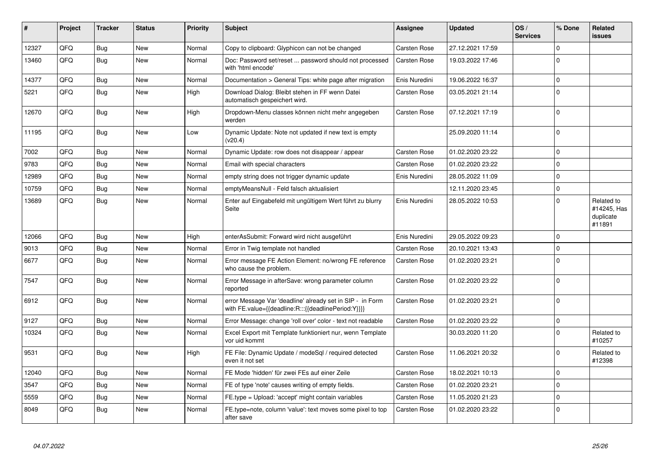| #     | Project | <b>Tracker</b> | <b>Status</b> | <b>Priority</b> | <b>Subject</b>                                                                                                   | Assignee            | <b>Updated</b>   | OS/<br><b>Services</b> | % Done         | <b>Related</b><br><b>issues</b>                  |
|-------|---------|----------------|---------------|-----------------|------------------------------------------------------------------------------------------------------------------|---------------------|------------------|------------------------|----------------|--------------------------------------------------|
| 12327 | QFQ     | Bug            | <b>New</b>    | Normal          | Copy to clipboard: Glyphicon can not be changed                                                                  | Carsten Rose        | 27.12.2021 17:59 |                        | $\mathbf{0}$   |                                                  |
| 13460 | QFQ     | Bug            | <b>New</b>    | Normal          | Doc: Password set/reset  password should not processed<br>with 'html encode'                                     | <b>Carsten Rose</b> | 19.03.2022 17:46 |                        | $\Omega$       |                                                  |
| 14377 | QFQ     | Bug            | New           | Normal          | Documentation > General Tips: white page after migration                                                         | Enis Nuredini       | 19.06.2022 16:37 |                        | $\mathbf{0}$   |                                                  |
| 5221  | QFQ     | <b>Bug</b>     | <b>New</b>    | High            | Download Dialog: Bleibt stehen in FF wenn Datei<br>automatisch gespeichert wird.                                 | Carsten Rose        | 03.05.2021 21:14 |                        | $\overline{0}$ |                                                  |
| 12670 | QFQ     | Bug            | <b>New</b>    | High            | Dropdown-Menu classes können nicht mehr angegeben<br>werden                                                      | Carsten Rose        | 07.12.2021 17:19 |                        | $\Omega$       |                                                  |
| 11195 | QFQ     | Bug            | <b>New</b>    | Low             | Dynamic Update: Note not updated if new text is empty<br>(v20.4)                                                 |                     | 25.09.2020 11:14 |                        | $\Omega$       |                                                  |
| 7002  | QFQ     | <b>Bug</b>     | <b>New</b>    | Normal          | Dynamic Update: row does not disappear / appear                                                                  | Carsten Rose        | 01.02.2020 23:22 |                        | $\mathbf 0$    |                                                  |
| 9783  | QFQ     | Bug            | <b>New</b>    | Normal          | Email with special characters                                                                                    | <b>Carsten Rose</b> | 01.02.2020 23:22 |                        | $\mathbf 0$    |                                                  |
| 12989 | QFQ     | <b>Bug</b>     | <b>New</b>    | Normal          | empty string does not trigger dynamic update                                                                     | Enis Nuredini       | 28.05.2022 11:09 |                        | $\mathbf{0}$   |                                                  |
| 10759 | QFQ     | Bug            | <b>New</b>    | Normal          | emptyMeansNull - Feld falsch aktualisiert                                                                        |                     | 12.11.2020 23:45 |                        | $\mathbf 0$    |                                                  |
| 13689 | QFQ     | Bug            | <b>New</b>    | Normal          | Enter auf Eingabefeld mit ungültigem Wert führt zu blurry<br>Seite                                               | Enis Nuredini       | 28.05.2022 10:53 |                        | $\overline{0}$ | Related to<br>#14245, Has<br>duplicate<br>#11891 |
| 12066 | QFQ     | Bug            | <b>New</b>    | High            | enterAsSubmit: Forward wird nicht ausgeführt                                                                     | Enis Nuredini       | 29.05.2022 09:23 |                        | $\overline{0}$ |                                                  |
| 9013  | QFQ     | <b>Bug</b>     | <b>New</b>    | Normal          | Error in Twig template not handled                                                                               | Carsten Rose        | 20.10.2021 13:43 |                        | $\pmb{0}$      |                                                  |
| 6677  | QFQ     | <b>Bug</b>     | <b>New</b>    | Normal          | Error message FE Action Element: no/wrong FE reference<br>who cause the problem.                                 | <b>Carsten Rose</b> | 01.02.2020 23:21 |                        | $\mathbf 0$    |                                                  |
| 7547  | QFQ     | <b>Bug</b>     | <b>New</b>    | Normal          | Error Message in afterSave: wrong parameter column<br>reported                                                   | Carsten Rose        | 01.02.2020 23:22 |                        | $\Omega$       |                                                  |
| 6912  | QFQ     | <b>Bug</b>     | <b>New</b>    | Normal          | error Message Var 'deadline' already set in SIP - in Form<br>with FE.value={{deadline:R:::{{deadlinePeriod:Y}}}} | <b>Carsten Rose</b> | 01.02.2020 23:21 |                        | $\Omega$       |                                                  |
| 9127  | QFQ     | Bug            | <b>New</b>    | Normal          | Error Message: change 'roll over' color - text not readable                                                      | <b>Carsten Rose</b> | 01.02.2020 23:22 |                        | $\mathbf{0}$   |                                                  |
| 10324 | QFQ     | Bug            | <b>New</b>    | Normal          | Excel Export mit Template funktioniert nur, wenn Template<br>vor uid kommt                                       |                     | 30.03.2020 11:20 |                        | $\mathbf{0}$   | Related to<br>#10257                             |
| 9531  | QFQ     | Bug            | <b>New</b>    | High            | FE File: Dynamic Update / modeSql / required detected<br>even it not set                                         | Carsten Rose        | 11.06.2021 20:32 |                        | $\mathbf 0$    | Related to<br>#12398                             |
| 12040 | QFQ     | Bug            | <b>New</b>    | Normal          | FE Mode 'hidden' für zwei FEs auf einer Zeile                                                                    | Carsten Rose        | 18.02.2021 10:13 |                        | $\mathbf{0}$   |                                                  |
| 3547  | QFQ     | Bug            | <b>New</b>    | Normal          | FE of type 'note' causes writing of empty fields.                                                                | Carsten Rose        | 01.02.2020 23:21 |                        | $\mathbf{0}$   |                                                  |
| 5559  | QFQ     | Bug            | <b>New</b>    | Normal          | FE.type = Upload: 'accept' might contain variables                                                               | <b>Carsten Rose</b> | 11.05.2020 21:23 |                        | $\overline{0}$ |                                                  |
| 8049  | QFQ     | <b>Bug</b>     | <b>New</b>    | Normal          | FE.type=note, column 'value': text moves some pixel to top<br>after save                                         | Carsten Rose        | 01.02.2020 23:22 |                        | $\mathbf{0}$   |                                                  |